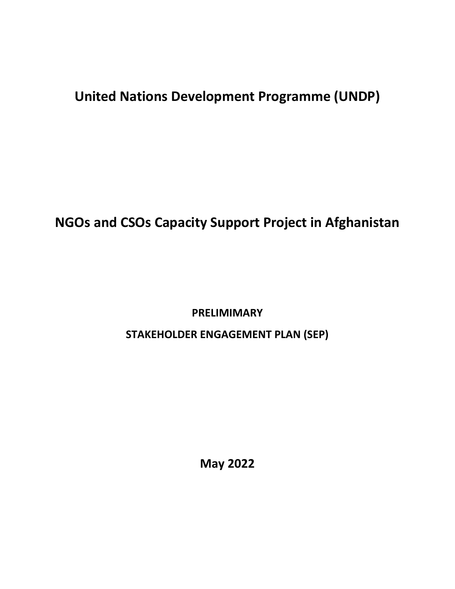# **United Nations Development Programme (UNDP)**

## **NGOs and CSOs Capacity Support Project in Afghanistan**

**PRELIMIMARY** 

**STAKEHOLDER ENGAGEMENT PLAN (SEP)**

**May 2022**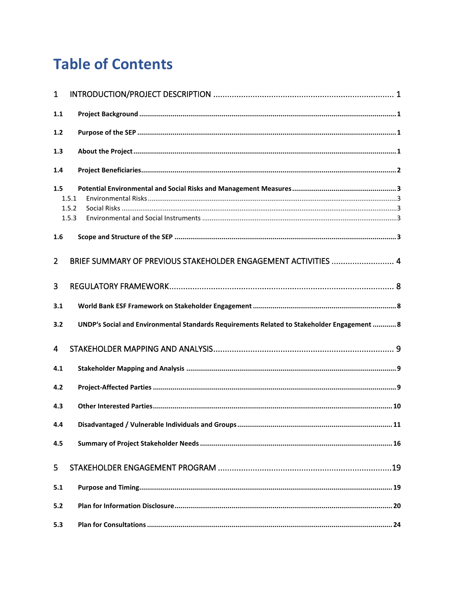# **Table of Contents**

| $\mathbf{1}$                   |                                                                                             |  |
|--------------------------------|---------------------------------------------------------------------------------------------|--|
| 1.1                            |                                                                                             |  |
| 1.2                            |                                                                                             |  |
| 1.3                            |                                                                                             |  |
| 1.4                            |                                                                                             |  |
| 1.5<br>1.5.1<br>1.5.2<br>1.5.3 |                                                                                             |  |
| 1.6                            |                                                                                             |  |
| $\overline{2}$                 | BRIEF SUMMARY OF PREVIOUS STAKEHOLDER ENGAGEMENT ACTIVITIES  4                              |  |
| 3                              |                                                                                             |  |
| 3.1                            |                                                                                             |  |
| 3.2                            | UNDP's Social and Environmental Standards Requirements Related to Stakeholder Engagement  8 |  |
| 4                              |                                                                                             |  |
| 4.1                            |                                                                                             |  |
| 4.2                            |                                                                                             |  |
| 4.3                            |                                                                                             |  |
| 4.4                            |                                                                                             |  |
| 4.5                            |                                                                                             |  |
| 5                              |                                                                                             |  |
| 5.1                            |                                                                                             |  |
| $5.2$                          |                                                                                             |  |
| 5.3                            |                                                                                             |  |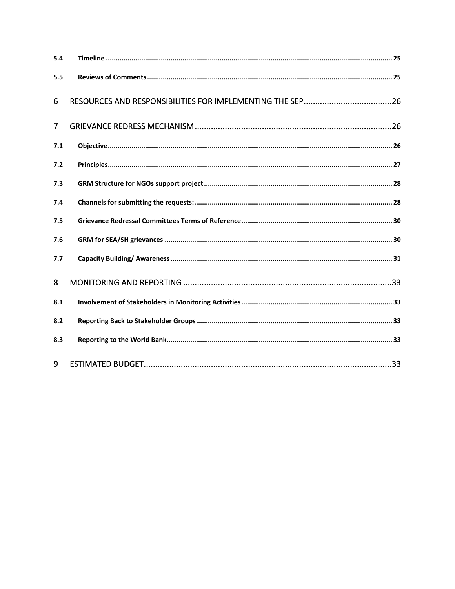| 5.4            |  |
|----------------|--|
| 5.5            |  |
| 6              |  |
| $\overline{7}$ |  |
| 7.1            |  |
| 7.2            |  |
| 7.3            |  |
| 7.4            |  |
| 7.5            |  |
| 7.6            |  |
| 7.7            |  |
| 8              |  |
| 8.1            |  |
| 8.2            |  |
| 8.3            |  |
| 9              |  |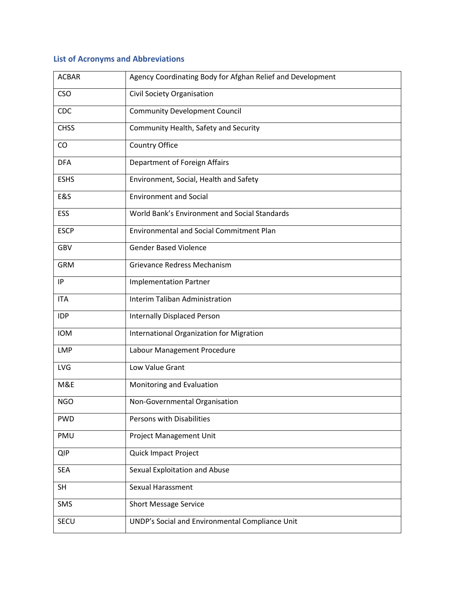## **List of Acronyms and Abbreviations**

| <b>ACBAR</b>   | Agency Coordinating Body for Afghan Relief and Development |
|----------------|------------------------------------------------------------|
| <b>CSO</b>     | Civil Society Organisation                                 |
| CDC            | <b>Community Development Council</b>                       |
| <b>CHSS</b>    | Community Health, Safety and Security                      |
| CO             | Country Office                                             |
| <b>DFA</b>     | Department of Foreign Affairs                              |
| <b>ESHS</b>    | Environment, Social, Health and Safety                     |
| <b>E&amp;S</b> | <b>Environment and Social</b>                              |
| <b>ESS</b>     | World Bank's Environment and Social Standards              |
| <b>ESCP</b>    | <b>Environmental and Social Commitment Plan</b>            |
| <b>GBV</b>     | <b>Gender Based Violence</b>                               |
| <b>GRM</b>     | Grievance Redress Mechanism                                |
| IP             | <b>Implementation Partner</b>                              |
| <b>ITA</b>     | Interim Taliban Administration                             |
| <b>IDP</b>     | <b>Internally Displaced Person</b>                         |
| <b>IOM</b>     | <b>International Organization for Migration</b>            |
| <b>LMP</b>     | Labour Management Procedure                                |
| <b>LVG</b>     | Low Value Grant                                            |
| M&E            | Monitoring and Evaluation                                  |
| <b>NGO</b>     | Non-Governmental Organisation                              |
| <b>PWD</b>     | Persons with Disabilities                                  |
| PMU            | Project Management Unit                                    |
| <b>QIP</b>     | <b>Quick Impact Project</b>                                |
| <b>SEA</b>     | Sexual Exploitation and Abuse                              |
| <b>SH</b>      | Sexual Harassment                                          |
| SMS            | <b>Short Message Service</b>                               |
| SECU           | UNDP's Social and Environmental Compliance Unit            |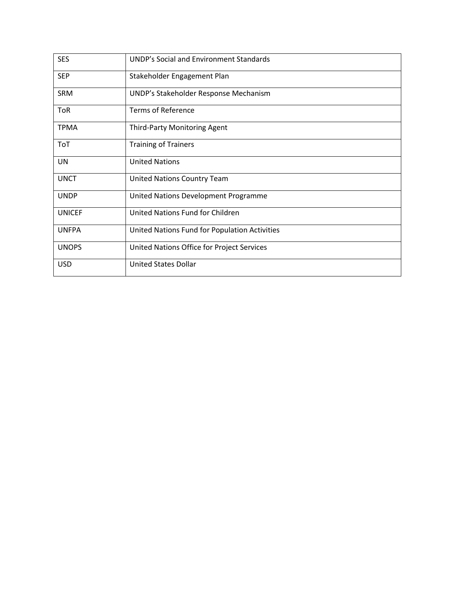| <b>SES</b>    | <b>UNDP's Social and Environment Standards</b> |
|---------------|------------------------------------------------|
| <b>SEP</b>    | Stakeholder Engagement Plan                    |
| SRM           | UNDP's Stakeholder Response Mechanism          |
| ToR           | <b>Terms of Reference</b>                      |
| <b>TPMA</b>   | Third-Party Monitoring Agent                   |
| ToT           | <b>Training of Trainers</b>                    |
| UN            | <b>United Nations</b>                          |
| <b>UNCT</b>   | <b>United Nations Country Team</b>             |
| <b>UNDP</b>   | United Nations Development Programme           |
| <b>UNICEF</b> | United Nations Fund for Children               |
| <b>UNFPA</b>  | United Nations Fund for Population Activities  |
| <b>UNOPS</b>  | United Nations Office for Project Services     |
| <b>USD</b>    | <b>United States Dollar</b>                    |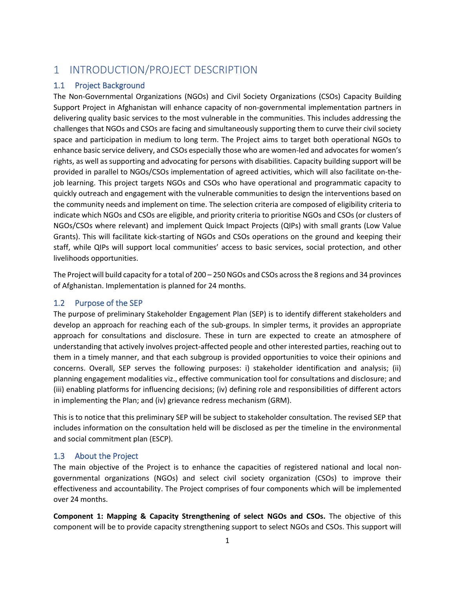## <span id="page-5-0"></span>1 INTRODUCTION/PROJECT DESCRIPTION

#### <span id="page-5-1"></span>1.1 Project Background

The Non-Governmental Organizations (NGOs) and Civil Society Organizations (CSOs) Capacity Building Support Project in Afghanistan will enhance capacity of non-governmental implementation partners in delivering quality basic services to the most vulnerable in the communities. This includes addressing the challenges that NGOs and CSOs are facing and simultaneously supporting them to curve their civil society space and participation in medium to long term. The Project aims to target both operational NGOs to enhance basic service delivery, and CSOs especially those who are women-led and advocates for women's rights, as well as supporting and advocating for persons with disabilities. Capacity building support will be provided in parallel to NGOs/CSOs implementation of agreed activities, which will also facilitate on-thejob learning. This project targets NGOs and CSOs who have operational and programmatic capacity to quickly outreach and engagement with the vulnerable communities to design the interventions based on the community needs and implement on time. The selection criteria are composed of eligibility criteria to indicate which NGOs and CSOs are eligible, and priority criteria to prioritise NGOs and CSOs (or clusters of NGOs/CSOs where relevant) and implement Quick Impact Projects (QIPs) with small grants (Low Value Grants). This will facilitate kick-starting of NGOs and CSOs operations on the ground and keeping their staff, while QIPs will support local communities' access to basic services, social protection, and other livelihoods opportunities.

The Project will build capacity for a total of 200 – 250 NGOs and CSOs across the 8 regions and 34 provinces of Afghanistan. Implementation is planned for 24 months.

#### <span id="page-5-2"></span>1.2 Purpose of the SEP

The purpose of preliminary Stakeholder Engagement Plan (SEP) is to identify different stakeholders and develop an approach for reaching each of the sub-groups. In simpler terms, it provides an appropriate approach for consultations and disclosure. These in turn are expected to create an atmosphere of understanding that actively involves project-affected people and other interested parties, reaching out to them in a timely manner, and that each subgroup is provided opportunities to voice their opinions and concerns. Overall, SEP serves the following purposes: i) stakeholder identification and analysis; (ii) planning engagement modalities viz., effective communication tool for consultations and disclosure; and (iii) enabling platforms for influencing decisions; (iv) defining role and responsibilities of different actors in implementing the Plan; and (iv) grievance redress mechanism (GRM).

This is to notice that this preliminary SEP will be subject to stakeholder consultation. The revised SEP that includes information on the consultation held will be disclosed as per the timeline in the environmental and social commitment plan (ESCP).

#### <span id="page-5-3"></span>1.3 About the Project

The main objective of the Project is to enhance the capacities of registered national and local nongovernmental organizations (NGOs) and select civil society organization (CSOs) to improve their effectiveness and accountability. The Project comprises of four components which will be implemented over 24 months.

**Component 1: Mapping & Capacity Strengthening of select NGOs and CSOs.** The objective of this component will be to provide capacity strengthening support to select NGOs and CSOs. This support will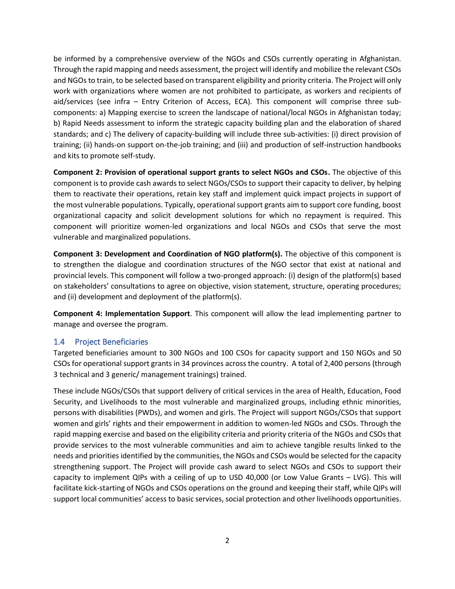be informed by a comprehensive overview of the NGOs and CSOs currently operating in Afghanistan. Through the rapid mapping and needs assessment, the project will identify and mobilize the relevant CSOs and NGOs to train, to be selected based on transparent eligibility and priority criteria. The Project will only work with organizations where women are not prohibited to participate, as workers and recipients of aid/services (see infra – Entry Criterion of Access, ECA). This component will comprise three subcomponents: a) Mapping exercise to screen the landscape of national/local NGOs in Afghanistan today; b) Rapid Needs assessment to inform the strategic capacity building plan and the elaboration of shared standards; and c) The delivery of capacity-building will include three sub-activities: (i) direct provision of training; (ii) hands-on support on-the-job training; and (iii) and production of self-instruction handbooks and kits to promote self-study.

**Component 2: Provision of operational support grants to select NGOs and CSOs.** The objective of this component is to provide cash awards to select NGOs/CSOs to support their capacity to deliver, by helping them to reactivate their operations, retain key staff and implement quick impact projects in support of the most vulnerable populations. Typically, operational support grants aim to support core funding, boost organizational capacity and solicit development solutions for which no repayment is required. This component will prioritize women-led organizations and local NGOs and CSOs that serve the most vulnerable and marginalized populations.

**Component 3: Development and Coordination of NGO platform(s).** The objective of this component is to strengthen the dialogue and coordination structures of the NGO sector that exist at national and provincial levels. This component will follow a two-pronged approach: (i) design of the platform(s) based on stakeholders' consultations to agree on objective, vision statement, structure, operating procedures; and (ii) development and deployment of the platform(s).

**Component 4: Implementation Support**. This component will allow the lead implementing partner to manage and oversee the program.

#### <span id="page-6-0"></span>1.4 Project Beneficiaries

Targeted beneficiaries amount to 300 NGOs and 100 CSOs for capacity support and 150 NGOs and 50 CSOs for operational support grants in 34 provinces across the country. A total of 2,400 persons (through 3 technical and 3 generic/ management trainings) trained.

These include NGOs/CSOs that support delivery of critical services in the area of Health, Education, Food Security, and Livelihoods to the most vulnerable and marginalized groups, including ethnic minorities, persons with disabilities (PWDs), and women and girls. The Project will support NGOs/CSOs that support women and girls' rights and their empowerment in addition to women-led NGOs and CSOs. Through the rapid mapping exercise and based on the eligibility criteria and priority criteria of the NGOs and CSOs that provide services to the most vulnerable communities and aim to achieve tangible results linked to the needs and priorities identified by the communities, the NGOs and CSOs would be selected for the capacity strengthening support. The Project will provide cash award to select NGOs and CSOs to support their capacity to implement QIPs with a ceiling of up to USD 40,000 (or Low Value Grants – LVG). This will facilitate kick-starting of NGOs and CSOs operations on the ground and keeping their staff, while QIPs will support local communities' access to basic services, social protection and other livelihoods opportunities.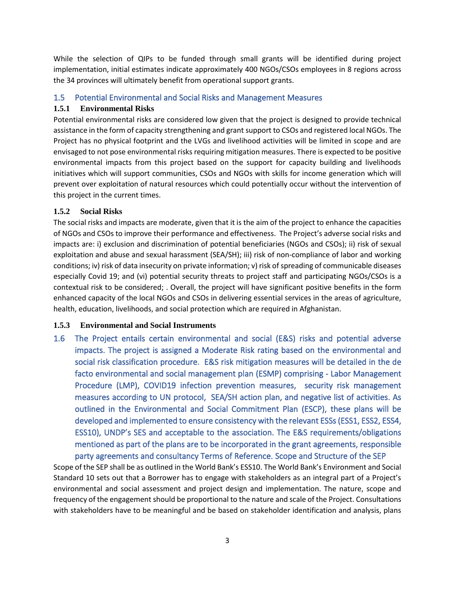While the selection of QIPs to be funded through small grants will be identified during project implementation, initial estimates indicate approximately 400 NGOs/CSOs employees in 8 regions across the 34 provinces will ultimately benefit from operational support grants.

#### <span id="page-7-0"></span>1.5 Potential Environmental and Social Risks and Management Measures

#### <span id="page-7-1"></span>**1.5.1 Environmental Risks**

Potential environmental risks are considered low given that the project is designed to provide technical assistance in the form of capacity strengthening and grant support to CSOs and registered local NGOs. The Project has no physical footprint and the LVGs and livelihood activities will be limited in scope and are envisaged to not pose environmental risks requiring mitigation measures. There is expected to be positive environmental impacts from this project based on the support for capacity building and livelihoods initiatives which will support communities, CSOs and NGOs with skills for income generation which will prevent over exploitation of natural resources which could potentially occur without the intervention of this project in the current times.

#### <span id="page-7-2"></span>**1.5.2 Social Risks**

The social risks and impacts are moderate, given that it is the aim of the project to enhance the capacities of NGOs and CSOs to improve their performance and effectiveness. The Project's adverse social risks and impacts are: i) exclusion and discrimination of potential beneficiaries (NGOs and CSOs); ii) risk of sexual exploitation and abuse and sexual harassment (SEA/SH); iii) risk of non-compliance of labor and working conditions; iv) risk of data insecurity on private information; v) risk of spreading of communicable diseases especially Covid 19; and (vi) potential security threats to project staff and participating NGOs/CSOs is a contextual risk to be considered; . Overall, the project will have significant positive benefits in the form enhanced capacity of the local NGOs and CSOs in delivering essential services in the areas of agriculture, health, education, livelihoods, and social protection which are required in Afghanistan.

#### <span id="page-7-3"></span>**1.5.3 Environmental and Social Instruments**

1.6 The Project entails certain environmental and social (E&S) risks and potential adverse impacts. The project is assigned a Moderate Risk rating based on the environmental and social risk classification procedure. E&S risk mitigation measures will be detailed in the de facto environmental and social management plan (ESMP) comprising - Labor Management Procedure (LMP), COVID19 infection prevention measures, security risk management measures according to UN protocol, SEA/SH action plan, and negative list of activities. As outlined in the Environmental and Social Commitment Plan (ESCP), these plans will be developed and implemented to ensure consistency with the relevant ESSs (ESS1, ESS2, ESS4, ESS10), UNDP's SES and acceptable to the association. The E&S requirements/obligations mentioned as part of the plans are to be incorporated in the grant agreements, responsible party agreements and consultancy Terms of Reference. Scope and Structure of the SEP

<span id="page-7-4"></span>Scope of the SEP shall be as outlined in the World Bank's ESS10. The World Bank's Environment and Social Standard 10 sets out that a Borrower has to engage with stakeholders as an integral part of a Project's environmental and social assessment and project design and implementation. The nature, scope and frequency of the engagement should be proportional to the nature and scale of the Project. Consultations with stakeholders have to be meaningful and be based on stakeholder identification and analysis, plans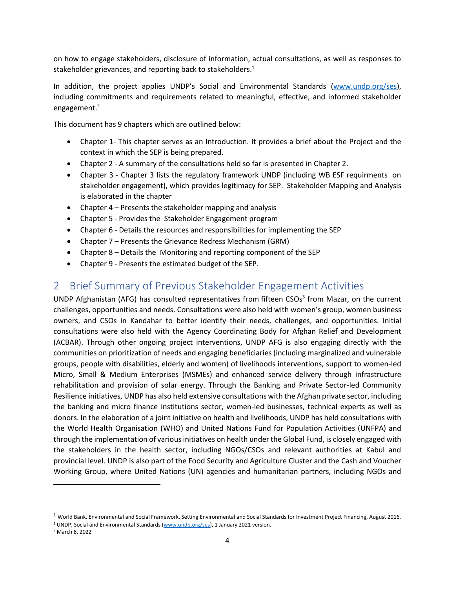on how to engage stakeholders, disclosure of information, actual consultations, as well as responses to stakeholder grievances, and reporting back to stakeholders.<sup>1</sup>

In addition, the project applies UNDP's Social and Environmental Standards [\(www.undp.org/ses\)](http://www.undp.org/ses), including commitments and requirements related to meaningful, effective, and informed stakeholder engagement. 2

This document has 9 chapters which are outlined below:

- Chapter 1- This chapter serves as an Introduction. It provides a brief about the Project and the context in which the SEP is being prepared.
- Chapter 2 A summary of the consultations held so far is presented in Chapter 2.
- Chapter 3 Chapter 3 lists the regulatory framework UNDP (including WB ESF requirments on stakeholder engagement), which provides legitimacy for SEP. Stakeholder Mapping and Analysis is elaborated in the chapter
- Chapter 4 Presents the stakeholder mapping and analysis
- Chapter 5 Provides the Stakeholder Engagement program
- Chapter 6 Details the resources and responsibilities for implementing the SEP
- Chapter 7 Presents the Grievance Redress Mechanism (GRM)
- Chapter 8 Details the Monitoring and reporting component of the SEP
- Chapter 9 Presents the estimated budget of the SEP.

## <span id="page-8-0"></span>2 Brief Summary of Previous Stakeholder Engagement Activities

UNDP Afghanistan (AFG) has consulted representatives from fifteen CSOs<sup>3</sup> from Mazar, on the current challenges, opportunities and needs. Consultations were also held with women's group, women business owners, and CSOs in Kandahar to better identify their needs, challenges, and opportunities. Initial consultations were also held with the Agency Coordinating Body for Afghan Relief and Development (ACBAR). Through other ongoing project interventions, UNDP AFG is also engaging directly with the communities on prioritization of needs and engaging beneficiaries (including marginalized and vulnerable groups, people with disabilities, elderly and women) of livelihoods interventions, support to women-led Micro, Small & Medium Enterprises (MSMEs) and enhanced service delivery through infrastructure rehabilitation and provision of solar energy. Through the Banking and Private Sector-led Community Resilience initiatives, UNDP has also held extensive consultations with the Afghan private sector, including the banking and micro finance institutions sector, women-led businesses, technical experts as well as donors. In the elaboration of a joint initiative on health and livelihoods, UNDP has held consultations with the World Health Organisation (WHO) and United Nations Fund for Population Activities (UNFPA) and through the implementation of various initiatives on health under the Global Fund, is closely engaged with the stakeholders in the health sector, including NGOs/CSOs and relevant authorities at Kabul and provincial level. UNDP is also part of the Food Security and Agriculture Cluster and the Cash and Voucher Working Group, where United Nations (UN) agencies and humanitarian partners, including NGOs and

 $1$  World Bank, Environmental and Social Framework. Setting Environmental and Social Standards for Investment Project Financing, August 2016.

<sup>&</sup>lt;sup>2</sup> UNDP, Social and Environmental Standards [\(www.undp.org/ses\)](http://www.undp.org/ses), 1 January 2021 version.

<sup>3</sup> March 8, 2022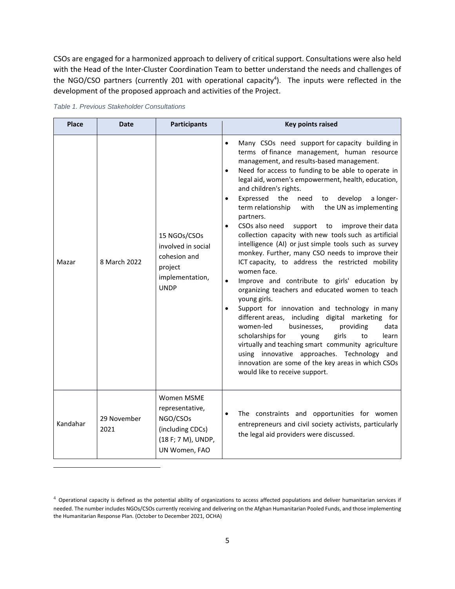CSOs are engaged for a harmonized approach to delivery of critical support. Consultations were also held with the Head of the Inter-Cluster Coordination Team to better understand the needs and challenges of the NGO/CSO partners (currently 201 with operational capacity<sup>4</sup>). The inputs were reflected in the development of the proposed approach and activities of the Project.

| <b>Place</b> | <b>Date</b>         | <b>Participants</b>                                                                                  | <b>Key points raised</b>                                                                                                                                                                                                                                                                                                                                                                                                                                                                                                                                                                                                                                                                                                                                                                                                                                                                                                                                                                                                                                                                                                                                                                                                                       |  |  |
|--------------|---------------------|------------------------------------------------------------------------------------------------------|------------------------------------------------------------------------------------------------------------------------------------------------------------------------------------------------------------------------------------------------------------------------------------------------------------------------------------------------------------------------------------------------------------------------------------------------------------------------------------------------------------------------------------------------------------------------------------------------------------------------------------------------------------------------------------------------------------------------------------------------------------------------------------------------------------------------------------------------------------------------------------------------------------------------------------------------------------------------------------------------------------------------------------------------------------------------------------------------------------------------------------------------------------------------------------------------------------------------------------------------|--|--|
| Mazar        | 8 March 2022        | 15 NGOs/CSOs<br>involved in social<br>cohesion and<br>project<br>implementation,<br><b>UNDP</b>      | Many CSOs need support for capacity building in<br>terms of finance management, human resource<br>management, and results-based management.<br>Need for access to funding to be able to operate in<br>legal aid, women's empowerment, health, education,<br>and children's rights.<br>Expressed<br>the<br>develop<br>a longer-<br>need<br>to<br>term relationship<br>with<br>the UN as implementing<br>partners.<br>CSOs also need<br>support<br>improve their data<br>to<br>collection capacity with new tools such as artificial<br>intelligence (AI) or just simple tools such as survey<br>monkey. Further, many CSO needs to improve their<br>ICT capacity, to address the restricted mobility<br>women face.<br>Improve and contribute to girls' education by<br>organizing teachers and educated women to teach<br>young girls.<br>Support for innovation and technology in many<br>different areas, including digital marketing for<br>women-led<br>businesses,<br>providing<br>data<br>scholarships for<br>girls<br>young<br>to<br>learn<br>virtually and teaching smart community agriculture<br>using innovative approaches. Technology and<br>innovation are some of the key areas in which CSOs<br>would like to receive support. |  |  |
| Kandahar     | 29 November<br>2021 | Women MSME<br>representative,<br>NGO/CSOs<br>(including CDCs)<br>(18 F; 7 M), UNDP,<br>UN Women, FAO | The constraints and opportunities for women<br>entrepreneurs and civil society activists, particularly<br>the legal aid providers were discussed.                                                                                                                                                                                                                                                                                                                                                                                                                                                                                                                                                                                                                                                                                                                                                                                                                                                                                                                                                                                                                                                                                              |  |  |

*Table 1. Previous Stakeholder Consultations* 

 $4$  Operational capacity is defined as the potential ability of organizations to access affected populations and deliver humanitarian services if needed. The number includes NGOs/CSOs currently receiving and delivering on the Afghan Humanitarian Pooled Funds, and those implementing the Humanitarian Response Plan. (October to December 2021, OCHA)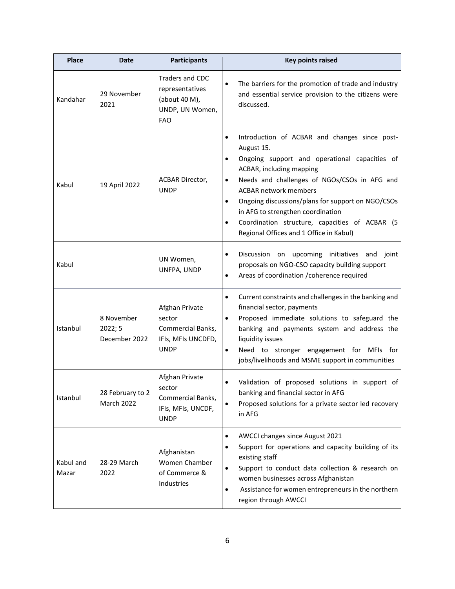| <b>Place</b>       | <b>Date</b>                            | <b>Participants</b>                                                                  | <b>Key points raised</b>                                                                                                                                                                                                                                                                                                                                                                                                                            |
|--------------------|----------------------------------------|--------------------------------------------------------------------------------------|-----------------------------------------------------------------------------------------------------------------------------------------------------------------------------------------------------------------------------------------------------------------------------------------------------------------------------------------------------------------------------------------------------------------------------------------------------|
| Kandahar           | 29 November<br>2021                    | Traders and CDC<br>representatives<br>(about 40 M),<br>UNDP, UN Women,<br><b>FAO</b> | The barriers for the promotion of trade and industry<br>and essential service provision to the citizens were<br>discussed.                                                                                                                                                                                                                                                                                                                          |
| Kabul              | 19 April 2022                          | ACBAR Director,<br><b>UNDP</b>                                                       | Introduction of ACBAR and changes since post-<br>$\bullet$<br>August 15.<br>Ongoing support and operational capacities of<br>$\bullet$<br>ACBAR, including mapping<br>Needs and challenges of NGOs/CSOs in AFG and<br>٠<br><b>ACBAR network members</b><br>Ongoing discussions/plans for support on NGO/CSOs<br>٠<br>in AFG to strengthen coordination<br>Coordination structure, capacities of ACBAR (5<br>Regional Offices and 1 Office in Kabul) |
| Kabul              |                                        | UN Women,<br>UNFPA, UNDP                                                             | Discussion on upcoming initiatives and joint<br>proposals on NGO-CSO capacity building support<br>Areas of coordination / coherence required                                                                                                                                                                                                                                                                                                        |
| Istanbul           | 8 November<br>2022; 5<br>December 2022 | Afghan Private<br>sector<br>Commercial Banks,<br>IFIs, MFIs UNCDFD,<br><b>UNDP</b>   | Current constraints and challenges in the banking and<br>$\bullet$<br>financial sector, payments<br>Proposed immediate solutions to safeguard the<br>banking and payments system and address the<br>liquidity issues<br>Need to stronger engagement for MFIs for<br>$\bullet$<br>jobs/livelihoods and MSME support in communities                                                                                                                   |
| Istanbul           | 28 February to 2<br>March 2022         | Afghan Private<br>sector<br>Commercial Banks,<br>IFIs, MFIs, UNCDF,<br><b>UNDP</b>   | Validation of proposed solutions in support of<br>banking and financial sector in AFG<br>Proposed solutions for a private sector led recovery<br>in AFG                                                                                                                                                                                                                                                                                             |
| Kabul and<br>Mazar | 28-29 March<br>2022                    | Afghanistan<br>Women Chamber<br>of Commerce &<br>Industries                          | AWCCI changes since August 2021<br>Support for operations and capacity building of its<br>existing staff<br>Support to conduct data collection & research on<br>women businesses across Afghanistan<br>Assistance for women entrepreneurs in the northern<br>٠<br>region through AWCCI                                                                                                                                                              |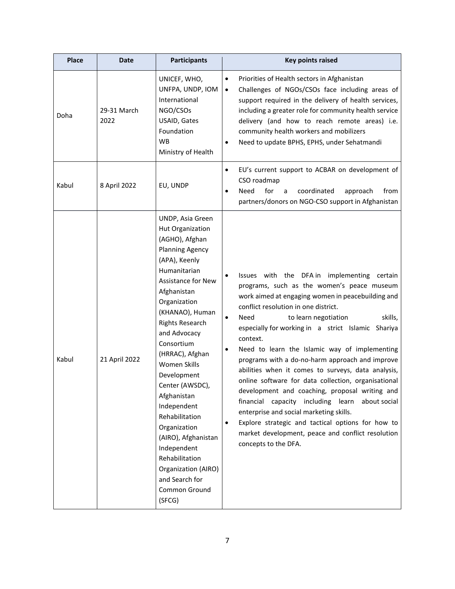| <b>Place</b> | Date                | <b>Participants</b>                                                                                                                                                                                                                                                                                                                                                                                                                                                                                                      | <b>Key points raised</b>                                                                                                                                                                                                                                                                                                                                                                                                                                                                                                                                                                                                                                                                                                                                                                                                         |
|--------------|---------------------|--------------------------------------------------------------------------------------------------------------------------------------------------------------------------------------------------------------------------------------------------------------------------------------------------------------------------------------------------------------------------------------------------------------------------------------------------------------------------------------------------------------------------|----------------------------------------------------------------------------------------------------------------------------------------------------------------------------------------------------------------------------------------------------------------------------------------------------------------------------------------------------------------------------------------------------------------------------------------------------------------------------------------------------------------------------------------------------------------------------------------------------------------------------------------------------------------------------------------------------------------------------------------------------------------------------------------------------------------------------------|
| Doha         | 29-31 March<br>2022 | UNICEF, WHO,<br>UNFPA, UNDP, IOM<br>International<br>NGO/CSOs<br>USAID, Gates<br>Foundation<br><b>WB</b><br>Ministry of Health                                                                                                                                                                                                                                                                                                                                                                                           | Priorities of Health sectors in Afghanistan<br>$\bullet$<br>Challenges of NGOs/CSOs face including areas of<br>$\bullet$<br>support required in the delivery of health services,<br>including a greater role for community health service<br>delivery (and how to reach remote areas) i.e.<br>community health workers and mobilizers<br>Need to update BPHS, EPHS, under Sehatmandi                                                                                                                                                                                                                                                                                                                                                                                                                                             |
| Kabul        | 8 April 2022        | EU, UNDP                                                                                                                                                                                                                                                                                                                                                                                                                                                                                                                 | EU's current support to ACBAR on development of<br>٠<br>CSO roadmap<br>Need<br>for<br>coordinated<br>from<br>a<br>approach<br>partners/donors on NGO-CSO support in Afghanistan                                                                                                                                                                                                                                                                                                                                                                                                                                                                                                                                                                                                                                                  |
| Kabul        | 21 April 2022       | UNDP, Asia Green<br>Hut Organization<br>(AGHO), Afghan<br><b>Planning Agency</b><br>(APA), Keenly<br>Humanitarian<br><b>Assistance for New</b><br>Afghanistan<br>Organization<br>(KHANAO), Human<br><b>Rights Research</b><br>and Advocacy<br>Consortium<br>(HRRAC), Afghan<br>Women Skills<br>Development<br>Center (AWSDC)<br>Afghanistan<br>Independent<br>Rehabilitation<br>Organization<br>(AIRO), Afghanistan<br>Independent<br>Rehabilitation<br>Organization (AIRO)<br>and Search for<br>Common Ground<br>(SFCG) | Issues with the DFA in implementing certain<br>٠<br>programs, such as the women's peace museum<br>work aimed at engaging women in peacebuilding and<br>conflict resolution in one district.<br>Need<br>to learn negotiation<br>skills,<br>$\bullet$<br>especially for working in a strict Islamic Shariya<br>context.<br>Need to learn the Islamic way of implementing<br>programs with a do-no-harm approach and improve<br>abilities when it comes to surveys, data analysis,<br>online software for data collection, organisational<br>development and coaching, proposal writing and<br>financial capacity including learn<br>about social<br>enterprise and social marketing skills.<br>Explore strategic and tactical options for how to<br>٠<br>market development, peace and conflict resolution<br>concepts to the DFA. |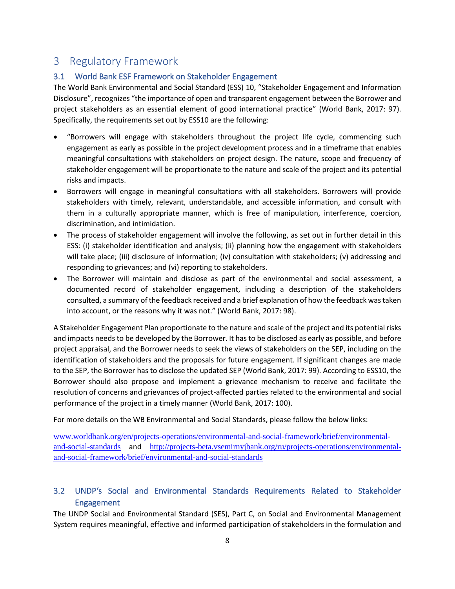## <span id="page-12-0"></span>3 Regulatory Framework

#### <span id="page-12-1"></span>3.1 World Bank ESF Framework on Stakeholder Engagement

The World Bank Environmental and Social Standard (ESS) 10, "Stakeholder Engagement and Information Disclosure", recognizes "the importance of open and transparent engagement between the Borrower and project stakeholders as an essential element of good international practice" (World Bank, 2017: 97). Specifically, the requirements set out by ESS10 are the following:

- "Borrowers will engage with stakeholders throughout the project life cycle, commencing such engagement as early as possible in the project development process and in a timeframe that enables meaningful consultations with stakeholders on project design. The nature, scope and frequency of stakeholder engagement will be proportionate to the nature and scale of the project and its potential risks and impacts.
- Borrowers will engage in meaningful consultations with all stakeholders. Borrowers will provide stakeholders with timely, relevant, understandable, and accessible information, and consult with them in a culturally appropriate manner, which is free of manipulation, interference, coercion, discrimination, and intimidation.
- The process of stakeholder engagement will involve the following, as set out in further detail in this ESS: (i) stakeholder identification and analysis; (ii) planning how the engagement with stakeholders will take place; (iii) disclosure of information; (iv) consultation with stakeholders; (v) addressing and responding to grievances; and (vi) reporting to stakeholders.
- The Borrower will maintain and disclose as part of the environmental and social assessment, a documented record of stakeholder engagement, including a description of the stakeholders consulted, a summary of the feedback received and a brief explanation of how the feedback was taken into account, or the reasons why it was not." (World Bank, 2017: 98).

A Stakeholder Engagement Plan proportionate to the nature and scale of the project and its potential risks and impacts needs to be developed by the Borrower. It has to be disclosed as early as possible, and before project appraisal, and the Borrower needs to seek the views of stakeholders on the SEP, including on the identification of stakeholders and the proposals for future engagement. If significant changes are made to the SEP, the Borrower has to disclose the updated SEP (World Bank, 2017: 99). According to ESS10, the Borrower should also propose and implement a grievance mechanism to receive and facilitate the resolution of concerns and grievances of project-affected parties related to the environmental and social performance of the project in a timely manner (World Bank, 2017: 100).

For more details on the WB Environmental and Social Standards, please follow the below links:

[www.worldbank.org/en/projects-operations/environmental-and-social-framework/brief/environmental](http://www.worldbank.org/en/projects-operations/environmental-and-social-framework/brief/environmental-and-social-standards)[and-social-standards](http://www.worldbank.org/en/projects-operations/environmental-and-social-framework/brief/environmental-and-social-standards) and [http://projects-beta.vsemirnyjbank.org/ru/projects-operations/environmental](http://projects-beta.vsemirnyjbank.org/ru/projects-operations/environmental-and-social-framework/brief/environmental-and-social-standards)[and-social-framework/brief/environmental-and-social-standards](http://projects-beta.vsemirnyjbank.org/ru/projects-operations/environmental-and-social-framework/brief/environmental-and-social-standards)

#### <span id="page-12-2"></span>3.2 UNDP's Social and Environmental Standards Requirements Related to Stakeholder Engagement

The UNDP Social and Environmental Standard (SES), Part C, on Social and Environmental Management System requires meaningful, effective and informed participation of stakeholders in the formulation and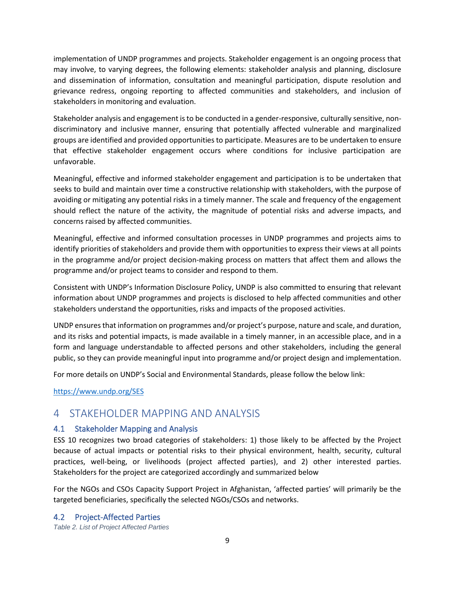implementation of UNDP programmes and projects. Stakeholder engagement is an ongoing process that may involve, to varying degrees, the following elements: stakeholder analysis and planning, disclosure and dissemination of information, consultation and meaningful participation, dispute resolution and grievance redress, ongoing reporting to affected communities and stakeholders, and inclusion of stakeholders in monitoring and evaluation.

Stakeholder analysis and engagement is to be conducted in a gender-responsive, culturally sensitive, nondiscriminatory and inclusive manner, ensuring that potentially affected vulnerable and marginalized groups are identified and provided opportunities to participate. Measures are to be undertaken to ensure that effective stakeholder engagement occurs where conditions for inclusive participation are unfavorable.

Meaningful, effective and informed stakeholder engagement and participation is to be undertaken that seeks to build and maintain over time a constructive relationship with stakeholders, with the purpose of avoiding or mitigating any potential risks in a timely manner. The scale and frequency of the engagement should reflect the nature of the activity, the magnitude of potential risks and adverse impacts, and concerns raised by affected communities.

Meaningful, effective and informed consultation processes in UNDP programmes and projects aims to identify priorities of stakeholders and provide them with opportunities to express their views at all points in the programme and/or project decision-making process on matters that affect them and allows the programme and/or project teams to consider and respond to them.

Consistent with UNDP's Information Disclosure Policy, UNDP is also committed to ensuring that relevant information about UNDP programmes and projects is disclosed to help affected communities and other stakeholders understand the opportunities, risks and impacts of the proposed activities.

UNDP ensures that information on programmes and/or project's purpose, nature and scale, and duration, and its risks and potential impacts, is made available in a timely manner, in an accessible place, and in a form and language understandable to affected persons and other stakeholders, including the general public, so they can provide meaningful input into programme and/or project design and implementation.

For more details on UNDP's Social and Environmental Standards, please follow the below link:

<https://www.undp.org/SES>

## <span id="page-13-0"></span>4 STAKEHOLDER MAPPING AND ANALYSIS

#### <span id="page-13-1"></span>4.1 Stakeholder Mapping and Analysis

ESS 10 recognizes two broad categories of stakeholders: 1) those likely to be affected by the Project because of actual impacts or potential risks to their physical environment, health, security, cultural practices, well-being, or livelihoods (project affected parties), and 2) other interested parties. Stakeholders for the project are categorized accordingly and summarized below

For the NGOs and CSOs Capacity Support Project in Afghanistan, 'affected parties' will primarily be the targeted beneficiaries, specifically the selected NGOs/CSOs and networks.

<span id="page-13-2"></span>4.2 Project-Affected Parties *Table 2. List of Project Affected Parties*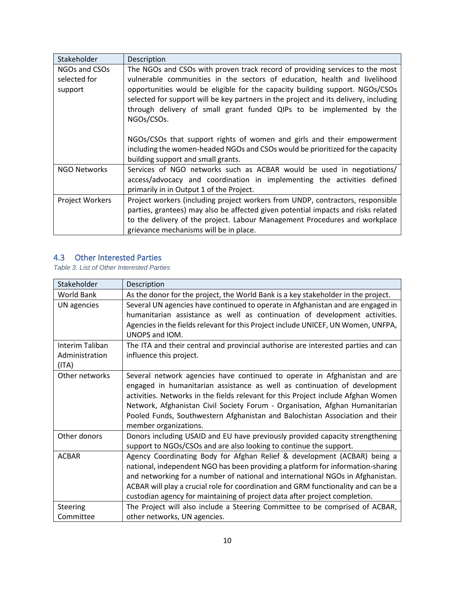| Stakeholder     | Description                                                                          |
|-----------------|--------------------------------------------------------------------------------------|
| NGOs and CSOs   | The NGOs and CSOs with proven track record of providing services to the most         |
| selected for    | vulnerable communities in the sectors of education, health and livelihood            |
| support         | opportunities would be eligible for the capacity building support. NGOs/CSOs         |
|                 | selected for support will be key partners in the project and its delivery, including |
|                 | through delivery of small grant funded QIPs to be implemented by the                 |
|                 | NGOs/CSOs.                                                                           |
|                 | NGOs/CSOs that support rights of women and girls and their empowerment               |
|                 |                                                                                      |
|                 | including the women-headed NGOs and CSOs would be prioritized for the capacity       |
|                 | building support and small grants.                                                   |
| NGO Networks    | Services of NGO networks such as ACBAR would be used in negotiations/                |
|                 | access/advocacy and coordination in implementing the activities defined              |
|                 | primarily in in Output 1 of the Project.                                             |
| Project Workers | Project workers (including project workers from UNDP, contractors, responsible       |
|                 | parties, grantees) may also be affected given potential impacts and risks related    |
|                 | to the delivery of the project. Labour Management Procedures and workplace           |
|                 | grievance mechanisms will be in place.                                               |

#### <span id="page-14-0"></span>4.3 Other Interested Parties

*Table 3. List of Other Interested Parties*

| Stakeholder       | Description                                                                        |  |  |  |  |
|-------------------|------------------------------------------------------------------------------------|--|--|--|--|
| <b>World Bank</b> | As the donor for the project, the World Bank is a key stakeholder in the project.  |  |  |  |  |
| UN agencies       | Several UN agencies have continued to operate in Afghanistan and are engaged in    |  |  |  |  |
|                   | humanitarian assistance as well as continuation of development activities.         |  |  |  |  |
|                   | Agencies in the fields relevant for this Project include UNICEF, UN Women, UNFPA,  |  |  |  |  |
|                   | UNOPS and IOM.                                                                     |  |  |  |  |
| Interim Taliban   | The ITA and their central and provincial authorise are interested parties and can  |  |  |  |  |
| Administration    | influence this project.                                                            |  |  |  |  |
| (ITA)             |                                                                                    |  |  |  |  |
| Other networks    | Several network agencies have continued to operate in Afghanistan and are          |  |  |  |  |
|                   | engaged in humanitarian assistance as well as continuation of development          |  |  |  |  |
|                   | activities. Networks in the fields relevant for this Project include Afghan Women  |  |  |  |  |
|                   | Network, Afghanistan Civil Society Forum - Organisation, Afghan Humanitarian       |  |  |  |  |
|                   | Pooled Funds, Southwestern Afghanistan and Balochistan Association and their       |  |  |  |  |
|                   | member organizations.                                                              |  |  |  |  |
| Other donors      | Donors including USAID and EU have previously provided capacity strengthening      |  |  |  |  |
|                   | support to NGOs/CSOs and are also looking to continue the support.                 |  |  |  |  |
| <b>ACBAR</b>      | Agency Coordinating Body for Afghan Relief & development (ACBAR) being a           |  |  |  |  |
|                   | national, independent NGO has been providing a platform for information-sharing    |  |  |  |  |
|                   | and networking for a number of national and international NGOs in Afghanistan.     |  |  |  |  |
|                   | ACBAR will play a crucial role for coordination and GRM functionality and can be a |  |  |  |  |
|                   | custodian agency for maintaining of project data after project completion.         |  |  |  |  |
| <b>Steering</b>   | The Project will also include a Steering Committee to be comprised of ACBAR,       |  |  |  |  |
| Committee         | other networks, UN agencies.                                                       |  |  |  |  |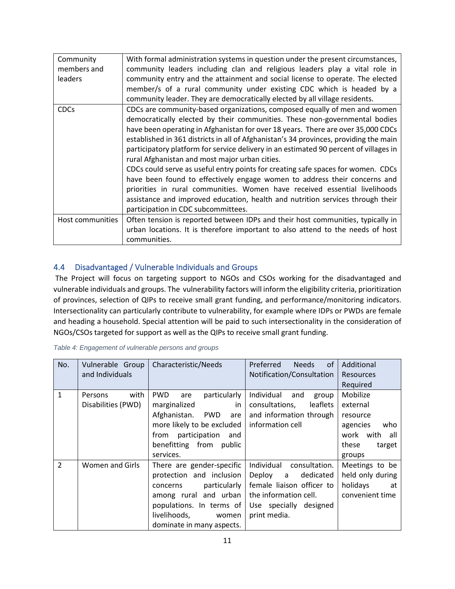| Community<br>members and<br>leaders | With formal administration systems in question under the present circumstances,<br>community leaders including clan and religious leaders play a vital role in<br>community entry and the attainment and social license to operate. The elected<br>member/s of a rural community under existing CDC which is headed by a<br>community leader. They are democratically elected by all village residents.                                                                                                                                                                                                                                                                                                                                                                                                                                                 |
|-------------------------------------|---------------------------------------------------------------------------------------------------------------------------------------------------------------------------------------------------------------------------------------------------------------------------------------------------------------------------------------------------------------------------------------------------------------------------------------------------------------------------------------------------------------------------------------------------------------------------------------------------------------------------------------------------------------------------------------------------------------------------------------------------------------------------------------------------------------------------------------------------------|
| <b>CDCs</b>                         | CDCs are community-based organizations, composed equally of men and women<br>democratically elected by their communities. These non-governmental bodies<br>have been operating in Afghanistan for over 18 years. There are over 35,000 CDCs<br>established in 361 districts in all of Afghanistan's 34 provinces, providing the main<br>participatory platform for service delivery in an estimated 90 percent of villages in<br>rural Afghanistan and most major urban cities.<br>CDCs could serve as useful entry points for creating safe spaces for women. CDCs<br>have been found to effectively engage women to address their concerns and<br>priorities in rural communities. Women have received essential livelihoods<br>assistance and improved education, health and nutrition services through their<br>participation in CDC subcommittees. |
| Host communities                    | Often tension is reported between IDPs and their host communities, typically in<br>urban locations. It is therefore important to also attend to the needs of host<br>communities.                                                                                                                                                                                                                                                                                                                                                                                                                                                                                                                                                                                                                                                                       |

#### <span id="page-15-0"></span>4.4 Disadvantaged / Vulnerable Individuals and Groups

The Project will focus on targeting support to NGOs and CSOs working for the disadvantaged and vulnerable individuals and groups. The vulnerability factors will inform the eligibility criteria, prioritization of provinces, selection of QIPs to receive small grant funding, and performance/monitoring indicators. Intersectionality can particularly contribute to vulnerability, for example where IDPs or PWDs are female and heading a household. Special attention will be paid to such intersectionality in the consideration of NGOs/CSOs targeted for support as well as the QIPs to receive small grant funding.

| No.            | Vulnerable Group<br>and Individuals   | Characteristic/Needs                                                                                                                                                                         | of<br>Preferred<br><b>Needs</b><br>Notification/Consultation                                                                                      | Additional<br><b>Resources</b><br>Required                                                        |  |
|----------------|---------------------------------------|----------------------------------------------------------------------------------------------------------------------------------------------------------------------------------------------|---------------------------------------------------------------------------------------------------------------------------------------------------|---------------------------------------------------------------------------------------------------|--|
| $\mathbf{1}$   | with<br>Persons<br>Disabilities (PWD) | <b>PWD</b><br>particularly<br>are<br>marginalized<br>in<br>PWD are<br>Afghanistan.<br>more likely to be excluded<br>participation<br>from<br>and<br>benefitting from public<br>services.     | Individual<br>and<br>group<br>leaflets<br>consultations,<br>and information through<br>information cell                                           | Mobilize<br>external<br>resource<br>who<br>agencies<br>work with all<br>these<br>target<br>groups |  |
| $\overline{2}$ | Women and Girls                       | There are gender-specific<br>protection and inclusion<br>particularly<br>concerns<br>among rural and urban<br>populations. In terms of<br>livelihoods,<br>women<br>dominate in many aspects. | Individual consultation.<br>Deploy a<br>dedicated<br>female liaison officer to<br>the information cell.<br>Use specially designed<br>print media. | Meetings to be<br>held only during<br>holidays<br>at<br>convenient time                           |  |

| Table 4: Engagement of vulnerable persons and groups |  |  |  |
|------------------------------------------------------|--|--|--|
|                                                      |  |  |  |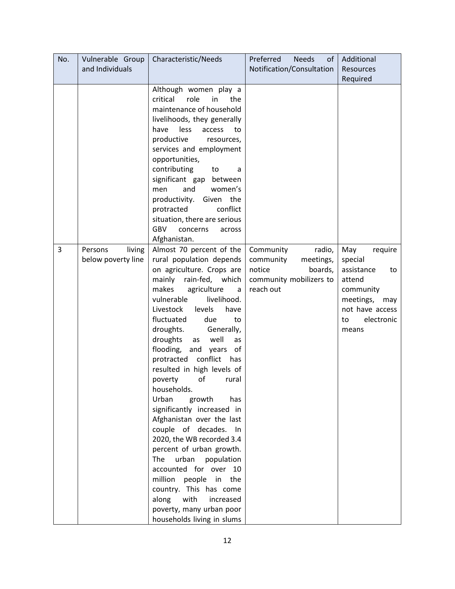| No. | Vulnerable Group                        | Characteristic/Needs                                                                                                                                                                                                                                                                                                                                                                                                                                                                                                                                                                                                                                                                                                                                                                                                       | Preferred<br><b>Needs</b><br>of                                                                            | Additional                                                                                                                               |
|-----|-----------------------------------------|----------------------------------------------------------------------------------------------------------------------------------------------------------------------------------------------------------------------------------------------------------------------------------------------------------------------------------------------------------------------------------------------------------------------------------------------------------------------------------------------------------------------------------------------------------------------------------------------------------------------------------------------------------------------------------------------------------------------------------------------------------------------------------------------------------------------------|------------------------------------------------------------------------------------------------------------|------------------------------------------------------------------------------------------------------------------------------------------|
|     | and Individuals                         |                                                                                                                                                                                                                                                                                                                                                                                                                                                                                                                                                                                                                                                                                                                                                                                                                            | Notification/Consultation                                                                                  | Resources                                                                                                                                |
|     |                                         | Although women play a<br>critical<br>role<br>in<br>the<br>maintenance of household<br>livelihoods, they generally<br>have<br>less<br>access<br>to<br>productive<br>resources,<br>services and employment<br>opportunities,<br>contributing<br>to<br>a<br>significant gap<br>between<br>and<br>women's<br>men<br>productivity.<br>Given the<br>conflict<br>protracted<br>situation, there are serious                                                                                                                                                                                                                                                                                                                                                                                                                       |                                                                                                            | Required                                                                                                                                 |
|     |                                         | <b>GBV</b><br>concerns<br>across                                                                                                                                                                                                                                                                                                                                                                                                                                                                                                                                                                                                                                                                                                                                                                                           |                                                                                                            |                                                                                                                                          |
|     |                                         | Afghanistan.                                                                                                                                                                                                                                                                                                                                                                                                                                                                                                                                                                                                                                                                                                                                                                                                               |                                                                                                            |                                                                                                                                          |
| 3   | living<br>Persons<br>below poverty line | Almost 70 percent of the<br>rural population depends<br>on agriculture. Crops are<br>rain-fed, which<br>mainly<br>makes<br>agriculture<br>a<br>livelihood.<br>vulnerable<br>Livestock<br>levels<br>have<br>fluctuated<br>due<br>to<br>droughts.<br>Generally,<br>droughts<br>well<br>as<br>as<br>flooding,<br>and<br>years<br>of<br>conflict<br>protracted<br>has<br>resulted in high levels of<br>of<br>poverty<br>rural<br>households.<br>Urban<br>growth<br>has<br>significantly increased in<br>Afghanistan over the last<br>couple of decades.<br>In<br>2020, the WB recorded 3.4<br>percent of urban growth.<br>The<br>urban<br>population<br>accounted for over 10<br>million<br>people in<br>the<br>country. This has come<br>along<br>with<br>increased<br>poverty, many urban poor<br>households living in slums | Community<br>radio,<br>community<br>meetings,<br>notice<br>boards,<br>community mobilizers to<br>reach out | May<br>require<br>special<br>assistance<br>to<br>attend<br>community<br>meetings,<br>may<br>not have access<br>electronic<br>to<br>means |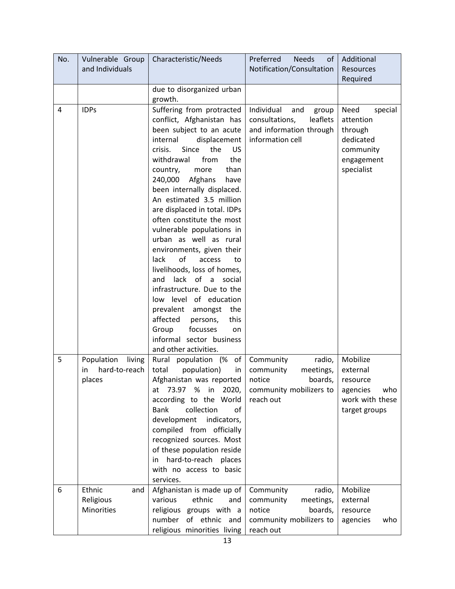| No. | Vulnerable Group<br>and Individuals | Characteristic/Needs                                      | Preferred<br><b>Needs</b><br>of             | Additional                       |
|-----|-------------------------------------|-----------------------------------------------------------|---------------------------------------------|----------------------------------|
|     |                                     |                                                           | Notification/Consultation                   | Resources<br>Required            |
|     |                                     | due to disorganized urban                                 |                                             |                                  |
|     |                                     | growth.                                                   |                                             |                                  |
| 4   | <b>IDPs</b>                         | Suffering from protracted                                 | Individual<br>and<br>group                  | Need<br>special                  |
|     |                                     | conflict, Afghanistan has                                 | leaflets<br>consultations,                  | attention                        |
|     |                                     | been subject to an acute                                  | and information through                     | through                          |
|     |                                     | internal<br>displacement                                  | information cell                            | dedicated                        |
|     |                                     | crisis.<br>Since<br>the<br>US<br>from<br>withdrawal       |                                             | community                        |
|     |                                     | the<br>than<br>country,<br>more                           |                                             | engagement<br>specialist         |
|     |                                     | 240,000<br>Afghans<br>have                                |                                             |                                  |
|     |                                     | been internally displaced.                                |                                             |                                  |
|     |                                     | An estimated 3.5 million                                  |                                             |                                  |
|     |                                     | are displaced in total. IDPs                              |                                             |                                  |
|     |                                     | often constitute the most                                 |                                             |                                  |
|     |                                     | vulnerable populations in                                 |                                             |                                  |
|     |                                     | urban as well as rural                                    |                                             |                                  |
|     |                                     | environments, given their                                 |                                             |                                  |
|     |                                     | of<br>lack<br>access<br>to                                |                                             |                                  |
|     |                                     | livelihoods, loss of homes,                               |                                             |                                  |
|     |                                     | lack of a<br>and<br>social<br>infrastructure. Due to the  |                                             |                                  |
|     |                                     | low level of education                                    |                                             |                                  |
|     |                                     | prevalent<br>amongst<br>the                               |                                             |                                  |
|     |                                     | affected<br>this<br>persons,                              |                                             |                                  |
|     |                                     | Group<br>focusses<br>on                                   |                                             |                                  |
|     |                                     | informal sector business                                  |                                             |                                  |
|     |                                     | and other activities.                                     |                                             |                                  |
| 5   | Population<br>living                | Rural population (%<br>of                                 | Community<br>radio,                         | Mobilize                         |
|     | hard-to-reach<br>in                 | population)<br>total<br>in                                | community<br>meetings,                      | external                         |
|     | places                              | Afghanistan was reported                                  | notice<br>boards,                           | resource                         |
|     |                                     | 73.97<br>$%$ in<br>2020,<br>at                            | community mobilizers to                     | agencies<br>who                  |
|     |                                     | according to the World<br>collection<br><b>Bank</b><br>of | reach out                                   | work with these<br>target groups |
|     |                                     | development<br>indicators,                                |                                             |                                  |
|     |                                     | compiled from officially                                  |                                             |                                  |
|     |                                     | recognized sources. Most                                  |                                             |                                  |
|     |                                     | of these population reside                                |                                             |                                  |
|     |                                     | hard-to-reach places<br>in.                               |                                             |                                  |
|     |                                     | with no access to basic                                   |                                             |                                  |
|     |                                     | services.                                                 |                                             |                                  |
| 6   | Ethnic<br>and                       | Afghanistan is made up of                                 | Community<br>radio,                         | Mobilize                         |
|     | Religious<br>Minorities             | various<br>ethnic<br>and<br>religious groups with a       | community<br>meetings,<br>notice<br>boards, | external<br>resource             |
|     |                                     | number of ethnic and                                      | community mobilizers to                     | agencies<br>who                  |
|     |                                     | religious minorities living                               | reach out                                   |                                  |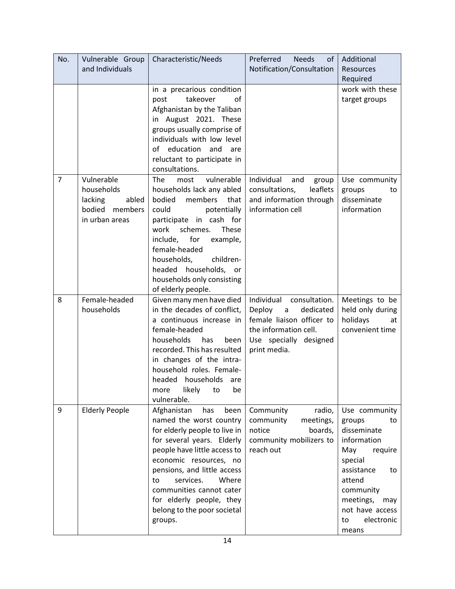| No.            | Vulnerable Group      | Characteristic/Needs                                 | Preferred<br><b>Needs</b><br>of     | Additional                          |
|----------------|-----------------------|------------------------------------------------------|-------------------------------------|-------------------------------------|
|                | and Individuals       |                                                      | Notification/Consultation           | <b>Resources</b>                    |
|                |                       |                                                      |                                     | Required                            |
|                |                       | in a precarious condition                            |                                     | work with these                     |
|                |                       | takeover<br>οf<br>post                               |                                     | target groups                       |
|                |                       | Afghanistan by the Taliban                           |                                     |                                     |
|                |                       | in August 2021. These                                |                                     |                                     |
|                |                       | groups usually comprise of                           |                                     |                                     |
|                |                       | individuals with low level                           |                                     |                                     |
|                |                       | of education<br>and are                              |                                     |                                     |
|                |                       | reluctant to participate in                          |                                     |                                     |
|                |                       | consultations.                                       |                                     |                                     |
| $\overline{7}$ | Vulnerable            | vulnerable<br>The<br>most                            | Individual<br>and<br>group          | Use community                       |
|                | households            | households lack any abled                            | leaflets<br>consultations,          | groups<br>to                        |
|                | lacking<br>abled      | bodied members<br>that                               | and information through             | disseminate                         |
|                | bodied<br>members     | could<br>potentially                                 | information cell                    | information                         |
|                | in urban areas        | participate in cash for<br>schemes.<br>work<br>These |                                     |                                     |
|                |                       | include, for<br>example,                             |                                     |                                     |
|                |                       | female-headed                                        |                                     |                                     |
|                |                       | children-<br>households,                             |                                     |                                     |
|                |                       | headed households,<br>or                             |                                     |                                     |
|                |                       | households only consisting                           |                                     |                                     |
|                |                       | of elderly people.                                   |                                     |                                     |
| 8              | Female-headed         | Given many men have died                             | Individual<br>consultation.         | Meetings to be                      |
|                | households            | in the decades of conflict,                          | Deploy<br>$\mathsf{a}$<br>dedicated | held only during                    |
|                |                       | a continuous increase in                             | female liaison officer to           | holidays<br>at                      |
|                |                       | female-headed                                        | the information cell.               | convenient time                     |
|                |                       | households<br>has<br>been                            | Use specially designed              |                                     |
|                |                       | recorded. This has resulted                          | print media.                        |                                     |
|                |                       | in changes of the intra-                             |                                     |                                     |
|                |                       | household roles. Female-                             |                                     |                                     |
|                |                       | headed households are                                |                                     |                                     |
|                |                       |                                                      |                                     |                                     |
|                |                       | likely<br>more<br>to<br>be                           |                                     |                                     |
|                |                       | vulnerable.                                          |                                     |                                     |
| 9              | <b>Elderly People</b> | Afghanistan<br>has<br>been                           | Community<br>radio,                 | Use community                       |
|                |                       | named the worst country                              | community<br>meetings,              | groups<br>to                        |
|                |                       | for elderly people to live in                        | notice<br>boards,                   | disseminate                         |
|                |                       | for several years. Elderly                           | community mobilizers to             | information                         |
|                |                       | people have little access to                         | reach out                           | May<br>require                      |
|                |                       | economic resources, no                               |                                     | special                             |
|                |                       | pensions, and little access                          |                                     | assistance<br>to                    |
|                |                       | Where<br>services.<br>to                             |                                     | attend                              |
|                |                       | communities cannot cater                             |                                     | community                           |
|                |                       | for elderly people, they                             |                                     | meetings,<br>may                    |
|                |                       | belong to the poor societal<br>groups.               |                                     | not have access<br>electronic<br>to |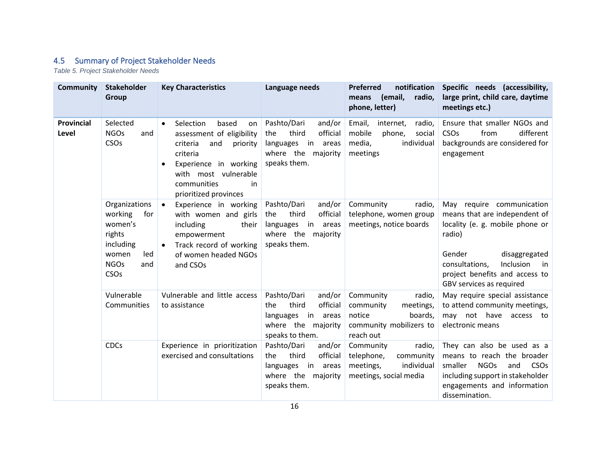### 4.5 Summary of Project Stakeholder Needs

*Table 5. Project Stakeholder Needs*

<span id="page-20-0"></span>

| <b>Community</b>           | <b>Stakeholder</b><br>Group                                                                                     | <b>Key Characteristics</b>                                                                                                                                                                                                | Language needs                                                                                                   | notification<br><b>Preferred</b><br>(email,<br>radio,<br>means<br>phone, letter)                           | Specific needs (accessibility,<br>large print, child care, daytime<br>meetings etc.)                                                                                                                                                  |
|----------------------------|-----------------------------------------------------------------------------------------------------------------|---------------------------------------------------------------------------------------------------------------------------------------------------------------------------------------------------------------------------|------------------------------------------------------------------------------------------------------------------|------------------------------------------------------------------------------------------------------------|---------------------------------------------------------------------------------------------------------------------------------------------------------------------------------------------------------------------------------------|
| <b>Provincial</b><br>Level | Selected<br><b>NGOs</b><br>and<br>CSOs                                                                          | Selection<br>based<br>$\bullet$<br>on<br>assessment of eligibility<br>criteria<br>and<br>priority<br>criteria<br>Experience in working<br>$\bullet$<br>with most vulnerable<br>communities<br>in<br>prioritized provinces | Pashto/Dari<br>and/or<br>third<br>official<br>the<br>languages in areas<br>where the majority<br>speaks them.    | Email,<br>radio,<br>internet,<br>mobile<br>phone,<br>social<br>media,<br>individual<br>meetings            | Ensure that smaller NGOs and<br>different<br>CSOs<br>from<br>backgrounds are considered for<br>engagement                                                                                                                             |
|                            | Organizations<br>working<br>for<br>women's<br>rights<br>including<br>led<br>women<br><b>NGOs</b><br>and<br>CSOs | $\bullet$<br>Experience in working<br>with women and girls<br>including<br>their<br>empowerment<br>Track record of working<br>$\bullet$<br>of women headed NGOs<br>and CSOs                                               | Pashto/Dari<br>and/or<br>third<br>official<br>the<br>languages in areas<br>where the majority<br>speaks them.    | Community<br>radio,<br>telephone, women group<br>meetings, notice boards                                   | May require communication<br>means that are independent of<br>locality (e. g. mobile phone or<br>radio)<br>Gender<br>disaggregated<br>Inclusion<br>consultations,<br>in<br>project benefits and access to<br>GBV services as required |
|                            | Vulnerable<br>Communities                                                                                       | Vulnerable and little access<br>to assistance                                                                                                                                                                             | Pashto/Dari<br>and/or<br>official<br>third<br>the<br>languages in areas<br>where the majority<br>speaks to them. | Community<br>radio,<br>community<br>meetings,<br>notice<br>boards,<br>community mobilizers to<br>reach out | May require special assistance<br>to attend community meetings,<br>may not have access to<br>electronic means                                                                                                                         |
|                            | <b>CDCs</b>                                                                                                     | Experience in prioritization<br>exercised and consultations                                                                                                                                                               | Pashto/Dari<br>and/or<br>official<br>third<br>the<br>languages in areas<br>where the majority<br>speaks them.    | Community<br>radio,<br>telephone,<br>community<br>individual<br>meetings,<br>meetings, social media        | They can also be used as a<br>means to reach the broader<br><b>NGOs</b><br>smaller<br>CSO <sub>s</sub><br>and<br>including support in stakeholder<br>engagements and information<br>dissemination.                                    |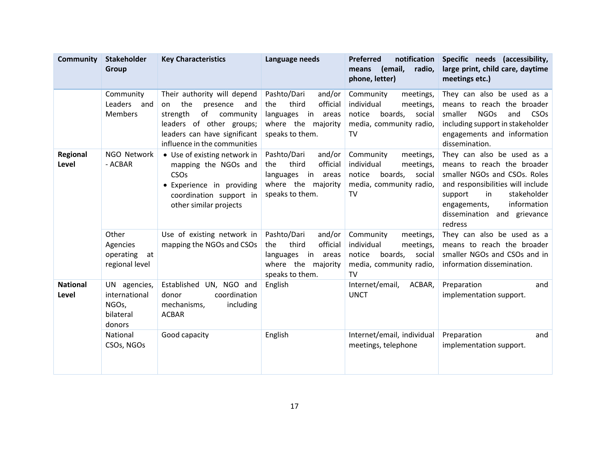| <b>Community</b>         | <b>Stakeholder</b><br><b>Group</b>                            | <b>Key Characteristics</b>                                                                                                                                                          | Language needs                                                                                                      | notification<br><b>Preferred</b><br>(email,<br>radio,<br>means<br>phone, letter)                                         | Specific needs (accessibility,<br>large print, child care, daytime<br>meetings etc.)                                                                                                                                                   |
|--------------------------|---------------------------------------------------------------|-------------------------------------------------------------------------------------------------------------------------------------------------------------------------------------|---------------------------------------------------------------------------------------------------------------------|--------------------------------------------------------------------------------------------------------------------------|----------------------------------------------------------------------------------------------------------------------------------------------------------------------------------------------------------------------------------------|
|                          | Community<br>Leaders and<br><b>Members</b>                    | Their authority will depend<br>the<br>presence<br>on<br>and<br>of community<br>strength<br>leaders of other groups;<br>leaders can have significant<br>influence in the communities | Pashto/Dari<br>and/or<br>official<br>the<br>third<br>in areas<br>languages<br>where the majority<br>speaks to them. | Community<br>meetings,<br>individual<br>meetings,<br>notice<br>boards,<br>social<br>media, community radio,<br><b>TV</b> | They can also be used as a<br>means to reach the broader<br><b>NGOs</b><br>smaller<br>and<br><b>CSO<sub>s</sub></b><br>including support in stakeholder<br>engagements and information<br>dissemination.                               |
| Regional<br>Level        | NGO Network<br>- ACBAR                                        | • Use of existing network in<br>mapping the NGOs and<br>CSOs<br>· Experience in providing<br>coordination support in<br>other similar projects                                      | Pashto/Dari<br>and/or<br>official<br>third<br>the<br>languages in areas<br>where the majority<br>speaks to them.    | Community<br>meetings,<br>individual<br>meetings,<br>notice<br>boards,<br>social<br>media, community radio,<br><b>TV</b> | They can also be used as a<br>means to reach the broader<br>smaller NGOs and CSOs. Roles<br>and responsibilities will include<br>stakeholder<br>in<br>support<br>information<br>engagements,<br>dissemination and grievance<br>redress |
|                          | Other<br>Agencies<br>operating<br>at<br>regional level        | Use of existing network in<br>mapping the NGOs and CSOs                                                                                                                             | Pashto/Dari<br>and/or<br>official<br>third<br>the<br>in areas<br>languages<br>where the majority<br>speaks to them. | Community<br>meetings,<br>individual<br>meetings,<br>notice<br>boards,<br>social<br>media, community radio,<br>TV        | They can also be used as a<br>means to reach the broader<br>smaller NGOs and CSOs and in<br>information dissemination.                                                                                                                 |
| <b>National</b><br>Level | UN agencies,<br>international<br>NGOs,<br>bilateral<br>donors | Established<br>UN, NGO and<br>coordination<br>donor<br>mechanisms,<br>including<br><b>ACBAR</b>                                                                                     | English                                                                                                             | Internet/email,<br>ACBAR,<br><b>UNCT</b>                                                                                 | Preparation<br>and<br>implementation support.                                                                                                                                                                                          |
|                          | National<br>CSOs, NGOs                                        | Good capacity                                                                                                                                                                       | English                                                                                                             | Internet/email, individual<br>meetings, telephone                                                                        | Preparation<br>and<br>implementation support.                                                                                                                                                                                          |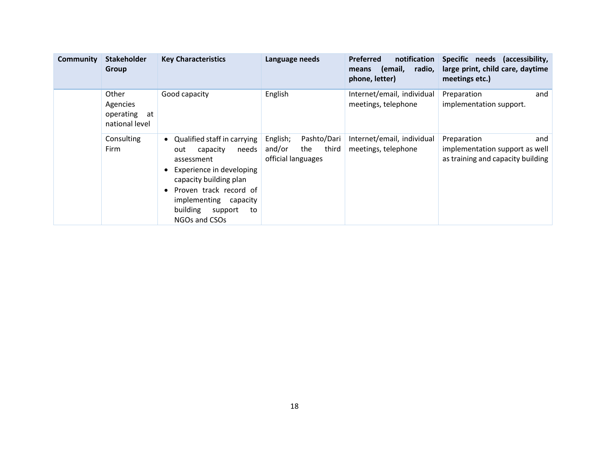| <b>Community</b> | <b>Stakeholder</b><br>Group                            | <b>Key Characteristics</b>                                                                                                                                                                                                     | Language needs                                                          | notification<br><b>Preferred</b><br>radio,<br>(email,<br>means<br>phone, letter) | Specific needs (accessibility,<br>large print, child care, daytime<br>meetings etc.)      |
|------------------|--------------------------------------------------------|--------------------------------------------------------------------------------------------------------------------------------------------------------------------------------------------------------------------------------|-------------------------------------------------------------------------|----------------------------------------------------------------------------------|-------------------------------------------------------------------------------------------|
|                  | Other<br>Agencies<br>operating<br>at<br>national level | Good capacity                                                                                                                                                                                                                  | English                                                                 | Internet/email, individual<br>meetings, telephone                                | and<br>Preparation<br>implementation support.                                             |
|                  | Consulting<br>Firm                                     | • Qualified staff in carrying<br>capacity<br>needs<br>out<br>assessment<br>Experience in developing<br>capacity building plan<br>Proven track record of<br>implementing capacity<br>building<br>support<br>to<br>NGOs and CSOs | Pashto/Dari<br>English;<br>and/or<br>third<br>the<br>official languages | Internet/email, individual<br>meetings, telephone                                | Preparation<br>and<br>implementation support as well<br>as training and capacity building |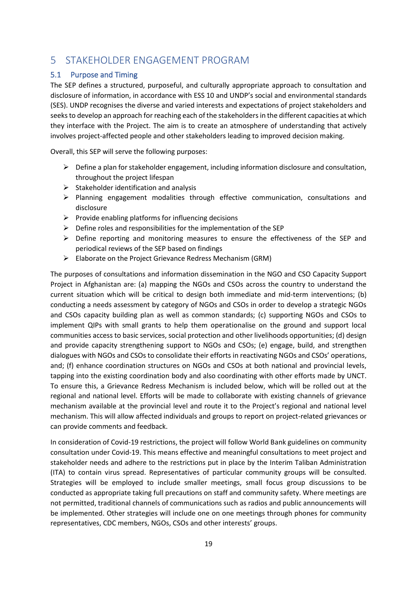## <span id="page-23-1"></span><span id="page-23-0"></span>5 STAKEHOLDER ENGAGEMENT PROGRAM

#### 5.1 Purpose and Timing

The SEP defines a structured, purposeful, and culturally appropriate approach to consultation and disclosure of information, in accordance with ESS 10 and UNDP's social and environmental standards (SES). UNDP recognises the diverse and varied interests and expectations of project stakeholders and seeks to develop an approach for reaching each of the stakeholders in the different capacities at which they interface with the Project. The aim is to create an atmosphere of understanding that actively involves project-affected people and other stakeholders leading to improved decision making.

Overall, this SEP will serve the following purposes:

- $\triangleright$  Define a plan for stakeholder engagement, including information disclosure and consultation, throughout the project lifespan
- $\triangleright$  Stakeholder identification and analysis
- $\triangleright$  Planning engagement modalities through effective communication, consultations and disclosure
- $\triangleright$  Provide enabling platforms for influencing decisions
- $\triangleright$  Define roles and responsibilities for the implementation of the SEP
- $\triangleright$  Define reporting and monitoring measures to ensure the effectiveness of the SEP and periodical reviews of the SEP based on findings
- ➢ Elaborate on the Project Grievance Redress Mechanism (GRM)

The purposes of consultations and information dissemination in the NGO and CSO Capacity Support Project in Afghanistan are: (a) mapping the NGOs and CSOs across the country to understand the current situation which will be critical to design both immediate and mid-term interventions; (b) conducting a needs assessment by category of NGOs and CSOs in order to develop a strategic NGOs and CSOs capacity building plan as well as common standards; (c) supporting NGOs and CSOs to implement QIPs with small grants to help them operationalise on the ground and support local communities access to basic services, social protection and other livelihoods opportunities; (d) design and provide capacity strengthening support to NGOs and CSOs; (e) engage, build, and strengthen dialogues with NGOs and CSOs to consolidate their efforts in reactivating NGOs and CSOs' operations, and; (f) enhance coordination structures on NGOs and CSOs at both national and provincial levels, tapping into the existing coordination body and also coordinating with other efforts made by UNCT. To ensure this, a Grievance Redress Mechanism is included below, which will be rolled out at the regional and national level. Efforts will be made to collaborate with existing channels of grievance mechanism available at the provincial level and route it to the Project's regional and national level mechanism. This will allow affected individuals and groups to report on project-related grievances or can provide comments and feedback.

In consideration of Covid-19 restrictions, the project will follow World Bank guidelines on community consultation under Covid-19. This means effective and meaningful consultations to meet project and stakeholder needs and adhere to the restrictions put in place by the Interim Taliban Administration (ITA) to contain virus spread. Representatives of particular community groups will be consulted. Strategies will be employed to include smaller meetings, small focus group discussions to be conducted as appropriate taking full precautions on staff and community safety. Where meetings are not permitted, traditional channels of communications such as radios and public announcements will be implemented. Other strategies will include one on one meetings through phones for community representatives, CDC members, NGOs, CSOs and other interests' groups.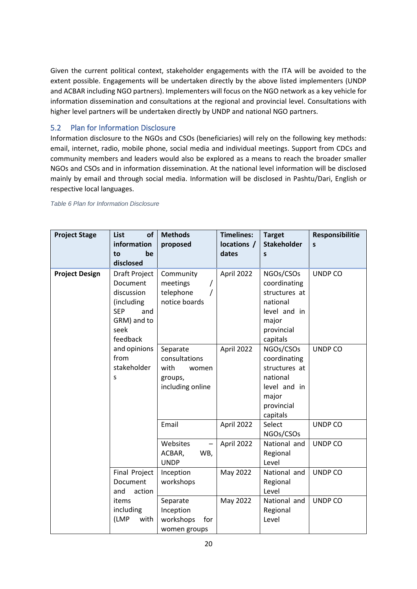<span id="page-24-0"></span>Given the current political context, stakeholder engagements with the ITA will be avoided to the extent possible. Engagements will be undertaken directly by the above listed implementers (UNDP and ACBAR including NGO partners). Implementers will focus on the NGO network as a key vehicle for information dissemination and consultations at the regional and provincial level. Consultations with higher level partners will be undertaken directly by UNDP and national NGO partners.

#### 5.2 Plan for Information Disclosure

Information disclosure to the NGOs and CSOs (beneficiaries) will rely on the following key methods: email, internet, radio, mobile phone, social media and individual meetings. Support from CDCs and community members and leaders would also be explored as a means to reach the broader smaller NGOs and CSOs and in information dissemination. At the national level information will be disclosed mainly by email and through social media. Information will be disclosed in Pashtu/Dari, English or respective local languages.

*Table 6 Plan for Information Disclosure*

| <b>Project Stage</b>  | <b>List</b><br>of<br>information<br>to<br>be<br>disclosed                                                     | <b>Methods</b><br>proposed                                                | <b>Timelines:</b><br>locations /<br>dates | <b>Target</b><br><b>Stakeholder</b><br>$\mathsf{s}$                                                       | Responsibilitie<br>S |
|-----------------------|---------------------------------------------------------------------------------------------------------------|---------------------------------------------------------------------------|-------------------------------------------|-----------------------------------------------------------------------------------------------------------|----------------------|
| <b>Project Design</b> | Draft Project<br>Document<br>discussion<br>(including<br><b>SEP</b><br>and<br>GRM) and to<br>seek<br>feedback | Community<br>meetings<br>telephone<br>notice boards                       | April 2022                                | NGOs/CSOs<br>coordinating<br>structures at<br>national<br>level and in<br>major<br>provincial<br>capitals | UNDP CO              |
|                       | and opinions<br>from<br>stakeholder<br>S                                                                      | Separate<br>consultations<br>with<br>women<br>groups,<br>including online | April 2022                                | NGOs/CSOs<br>coordinating<br>structures at<br>national<br>level and in<br>major<br>provincial<br>capitals | UNDP CO              |
|                       |                                                                                                               | Email                                                                     | April 2022                                | Select<br>NGOs/CSOs                                                                                       | UNDP CO              |
|                       |                                                                                                               | Websites<br>WB,<br>ACBAR,<br><b>UNDP</b>                                  | April 2022                                | National and<br>Regional<br>Level                                                                         | UNDP CO              |
|                       | <b>Final Project</b><br>Document<br>and<br>action                                                             | Inception<br>workshops                                                    | May 2022                                  | National and<br>Regional<br>Level                                                                         | UNDP CO              |
|                       | items<br>including<br>(LMP<br>with                                                                            | Separate<br>Inception<br>workshops<br>for<br>women groups                 | May 2022                                  | National and<br>Regional<br>Level                                                                         | <b>UNDP CO</b>       |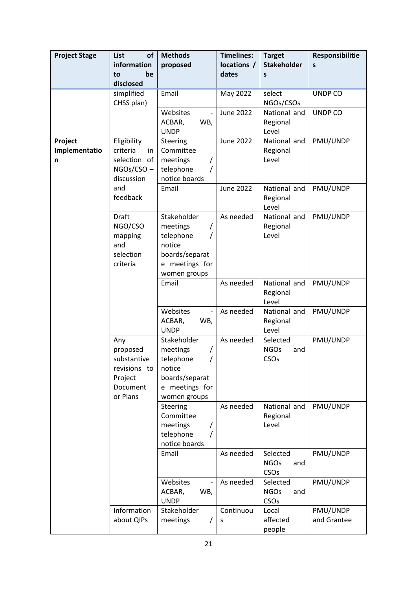| <b>Project Stage</b>          | List<br><b>of</b><br>information<br>be<br>to<br>disclosed                         | <b>Methods</b><br>proposed                                                                              | <b>Timelines:</b><br>locations /<br>dates | <b>Target</b><br><b>Stakeholder</b><br>S | Responsibilitie<br>S    |
|-------------------------------|-----------------------------------------------------------------------------------|---------------------------------------------------------------------------------------------------------|-------------------------------------------|------------------------------------------|-------------------------|
|                               | simplified<br>CHSS plan)                                                          | Email                                                                                                   | May 2022                                  | select<br>NGOs/CSOs                      | UNDP CO                 |
|                               |                                                                                   | Websites<br>$\overline{\phantom{a}}$<br>WB,<br>ACBAR,<br><b>UNDP</b>                                    | <b>June 2022</b>                          | National and<br>Regional<br>Level        | UNDP CO                 |
| Project<br>Implementatio<br>n | Eligibility<br>criteria<br>in<br>selection of<br>NGOs/CSO –<br>discussion         | Steering<br>Committee<br>meetings<br>telephone<br>notice boards                                         | <b>June 2022</b>                          | National and<br>Regional<br>Level        | PMU/UNDP                |
|                               | and<br>feedback                                                                   | Email                                                                                                   | <b>June 2022</b>                          | National and<br>Regional<br>Level        | PMU/UNDP                |
|                               | <b>Draft</b><br>NGO/CSO<br>mapping<br>and<br>selection<br>criteria                | Stakeholder<br>meetings<br>T<br>telephone<br>notice<br>boards/separat<br>e meetings for<br>women groups | As needed                                 | National and<br>Regional<br>Level        | PMU/UNDP                |
|                               |                                                                                   | Email                                                                                                   | As needed                                 | National and<br>Regional<br>Level        | PMU/UNDP                |
|                               |                                                                                   | Websites<br>$\blacksquare$<br>ACBAR,<br>WB,<br><b>UNDP</b>                                              | As needed                                 | National and<br>Regional<br>Level        | PMU/UNDP                |
|                               | Any<br>proposed<br>substantive<br>revisions to<br>Project<br>Document<br>or Plans | Stakeholder<br>meetings<br>telephone<br>notice<br>boards/separat<br>e meetings for<br>women groups      | As needed                                 | Selected<br><b>NGOs</b><br>and<br>CSOs   | PMU/UNDP                |
|                               |                                                                                   | Steering<br>Committee<br>meetings<br>telephone<br>notice boards                                         | As needed                                 | National and<br>Regional<br>Level        | PMU/UNDP                |
|                               |                                                                                   | Email                                                                                                   | As needed                                 | Selected<br><b>NGOs</b><br>and<br>CSOs   | PMU/UNDP                |
|                               |                                                                                   | Websites<br>WB,<br>ACBAR,<br><b>UNDP</b>                                                                | As needed                                 | Selected<br><b>NGOs</b><br>and<br>CSOs   | PMU/UNDP                |
|                               | Information<br>about QIPs                                                         | Stakeholder<br>meetings                                                                                 | Continuou<br>S                            | Local<br>affected<br>people              | PMU/UNDP<br>and Grantee |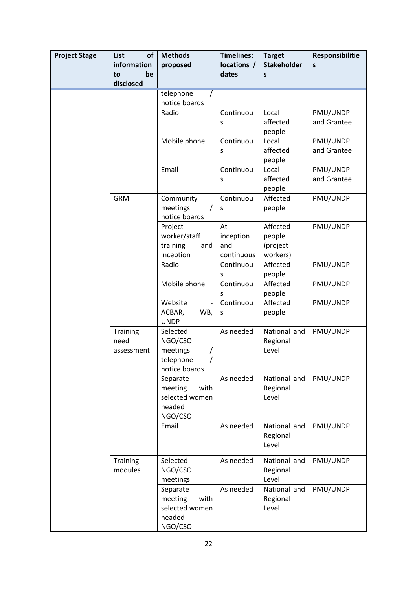| <b>Project Stage</b> | List<br>of<br>information<br>be<br>to | <b>Methods</b><br>proposed            | <b>Timelines:</b><br>locations /<br>dates | <b>Target</b><br><b>Stakeholder</b><br>S | Responsibilitie<br>S    |
|----------------------|---------------------------------------|---------------------------------------|-------------------------------------------|------------------------------------------|-------------------------|
|                      | disclosed                             | telephone<br>T                        |                                           |                                          |                         |
|                      |                                       | notice boards                         |                                           |                                          |                         |
|                      |                                       | Radio                                 | Continuou                                 | Local                                    | PMU/UNDP                |
|                      |                                       |                                       | S                                         | affected<br>people                       | and Grantee             |
|                      |                                       | Mobile phone                          | Continuou                                 | Local                                    | PMU/UNDP                |
|                      |                                       |                                       | S                                         | affected<br>people                       | and Grantee             |
|                      |                                       | Email                                 | Continuou<br>S                            | Local<br>affected                        | PMU/UNDP<br>and Grantee |
|                      |                                       |                                       |                                           | people                                   |                         |
|                      | <b>GRM</b>                            | Community                             | Continuou                                 | Affected                                 | PMU/UNDP                |
|                      |                                       | meetings<br>$\prime$<br>notice boards | S                                         | people                                   |                         |
|                      |                                       | Project                               | At                                        | Affected                                 | PMU/UNDP                |
|                      |                                       | worker/staff                          | inception                                 | people                                   |                         |
|                      |                                       | training<br>and                       | and                                       | (project                                 |                         |
|                      |                                       | inception                             | continuous                                | workers)                                 |                         |
|                      |                                       | Radio                                 | Continuou                                 | Affected                                 | PMU/UNDP                |
|                      |                                       |                                       | S<br>Continuou                            | people<br>Affected                       | PMU/UNDP                |
|                      |                                       | Mobile phone                          | S                                         | people                                   |                         |
|                      |                                       | Website<br>$\overline{\phantom{a}}$   | Continuou                                 | Affected                                 | PMU/UNDP                |
|                      |                                       | ACBAR,<br>WB,<br><b>UNDP</b>          | S                                         | people                                   |                         |
|                      | Training                              | Selected                              | As needed                                 | National and                             | PMU/UNDP                |
|                      | need                                  | NGO/CSO                               |                                           | Regional                                 |                         |
|                      | assessment                            | meetings                              |                                           | Level                                    |                         |
|                      |                                       | telephone<br>notice boards            |                                           |                                          |                         |
|                      |                                       | Separate                              | As needed                                 | National and                             | PMU/UNDP                |
|                      |                                       | meeting<br>with                       |                                           | Regional                                 |                         |
|                      |                                       | selected women                        |                                           | Level                                    |                         |
|                      |                                       | headed<br>NGO/CSO                     |                                           |                                          |                         |
|                      |                                       | Email                                 | As needed                                 | National and                             | PMU/UNDP                |
|                      |                                       |                                       |                                           | Regional<br>Level                        |                         |
|                      | Training                              | Selected                              | As needed                                 | National and                             | PMU/UNDP                |
|                      | modules                               | NGO/CSO                               |                                           | Regional                                 |                         |
|                      |                                       | meetings                              |                                           | Level                                    |                         |
|                      |                                       | Separate                              | As needed                                 | National and                             | PMU/UNDP                |
|                      |                                       | with<br>meeting<br>selected women     |                                           | Regional<br>Level                        |                         |
|                      |                                       | headed                                |                                           |                                          |                         |
|                      |                                       | NGO/CSO                               |                                           |                                          |                         |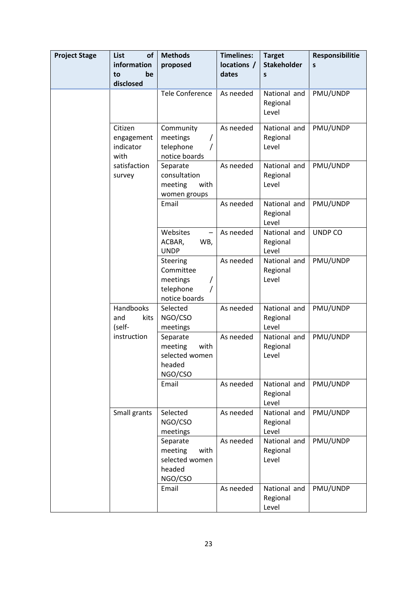| <b>Project Stage</b> | List<br><b>of</b>                          | <b>Methods</b>                                                     | <b>Timelines:</b> | <b>Target</b>                     | Responsibilitie |
|----------------------|--------------------------------------------|--------------------------------------------------------------------|-------------------|-----------------------------------|-----------------|
|                      | information                                | proposed                                                           | locations /       | <b>Stakeholder</b>                | S               |
|                      | be<br>to<br>disclosed                      |                                                                    | dates             | S                                 |                 |
|                      |                                            | <b>Tele Conference</b>                                             | As needed         | National and<br>Regional<br>Level | PMU/UNDP        |
|                      | Citizen<br>engagement<br>indicator<br>with | Community<br>meetings<br>telephone<br>notice boards                | As needed         | National and<br>Regional<br>Level | PMU/UNDP        |
|                      | satisfaction<br>survey                     | Separate<br>consultation<br>meeting<br>with<br>women groups        | As needed         | National and<br>Regional<br>Level | PMU/UNDP        |
|                      |                                            | Email                                                              | As needed         | National and<br>Regional<br>Level | PMU/UNDP        |
|                      |                                            | Websites<br>ACBAR,<br>WB,<br><b>UNDP</b>                           | As needed         | National and<br>Regional<br>Level | UNDP CO         |
|                      |                                            | Steering<br>Committee<br>meetings<br>telephone<br>notice boards    | As needed         | National and<br>Regional<br>Level | PMU/UNDP        |
|                      | Handbooks<br>kits<br>and<br>(self-         | Selected<br>NGO/CSO<br>meetings                                    | As needed         | National and<br>Regional<br>Level | PMU/UNDP        |
|                      | instruction                                | Separate<br>meeting<br>with<br>selected women<br>headed<br>NGO/CSO | As needed         | National and<br>Regional<br>Level | PMU/UNDP        |
|                      |                                            | Email                                                              | As needed         | National and<br>Regional<br>Level | PMU/UNDP        |
|                      | Small grants                               | Selected<br>NGO/CSO<br>meetings                                    | As needed         | National and<br>Regional<br>Level | PMU/UNDP        |
|                      |                                            | Separate<br>meeting<br>with<br>selected women<br>headed<br>NGO/CSO | As needed         | National and<br>Regional<br>Level | PMU/UNDP        |
|                      |                                            | Email                                                              | As needed         | National and<br>Regional<br>Level | PMU/UNDP        |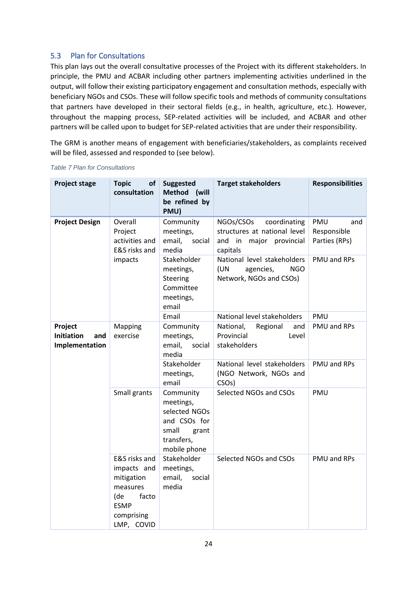#### <span id="page-28-0"></span>5.3 Plan for Consultations

This plan lays out the overall consultative processes of the Project with its different stakeholders. In principle, the PMU and ACBAR including other partners implementing activities underlined in the output, will follow their existing participatory engagement and consultation methods, especially with beneficiary NGOs and CSOs. These will follow specific tools and methods of community consultations that partners have developed in their sectoral fields (e.g., in health, agriculture, etc.). However, throughout the mapping process, SEP-related activities will be included, and ACBAR and other partners will be called upon to budget for SEP-related activities that are under their responsibility.

The GRM is another means of engagement with beneficiaries/stakeholders, as complaints received will be filed, assessed and responded to (see below).

| <b>Project stage</b>                                  | <b>Topic</b><br>οf<br>consultation                                                                                | <b>Suggested</b><br>(will<br><b>Method</b><br>be refined by<br>PMU)                                     | <b>Target stakeholders</b>                                                                          | <b>Responsibilities</b>                    |
|-------------------------------------------------------|-------------------------------------------------------------------------------------------------------------------|---------------------------------------------------------------------------------------------------------|-----------------------------------------------------------------------------------------------------|--------------------------------------------|
| <b>Project Design</b>                                 | Overall<br>Project<br>activities and<br>E&S risks and                                                             | Community<br>meetings,<br>social<br>email,<br>media                                                     | NGOs/CSOs<br>coordinating<br>structures at national level<br>and in<br>major provincial<br>capitals | PMU<br>and<br>Responsible<br>Parties (RPs) |
|                                                       | Stakeholder<br>impacts<br>meetings,<br>Steering<br>Committee<br>meetings,<br>email                                |                                                                                                         | National level stakeholders<br>(UN<br><b>NGO</b><br>agencies,<br>Network, NGOs and CSOs)            | PMU and RPs                                |
|                                                       |                                                                                                                   | Email                                                                                                   | National level stakeholders                                                                         | PMU                                        |
| Project<br><b>Initiation</b><br>and<br>Implementation | Mapping<br>exercise                                                                                               | Community<br>meetings,<br>email,<br>social<br>media                                                     | National,<br>Regional<br>and<br>Provincial<br>Level<br>stakeholders                                 | PMU and RPs                                |
|                                                       |                                                                                                                   | Stakeholder<br>meetings,<br>email                                                                       | National level stakeholders<br>(NGO Network, NGOs and<br>CSO <sub>s</sub> )                         | <b>PMU and RPs</b>                         |
|                                                       | Small grants                                                                                                      | Community<br>meetings,<br>selected NGOs<br>and CSOs for<br>small<br>grant<br>transfers,<br>mobile phone | Selected NGOs and CSOs                                                                              | <b>PMU</b>                                 |
|                                                       | E&S risks and<br>impacts and<br>mitigation<br>measures<br>(de<br>facto<br><b>ESMP</b><br>comprising<br>LMP, COVID | Stakeholder<br>meetings,<br>email,<br>social<br>media                                                   | Selected NGOs and CSOs                                                                              | PMU and RPs                                |

*Table 7 Plan for Consultations*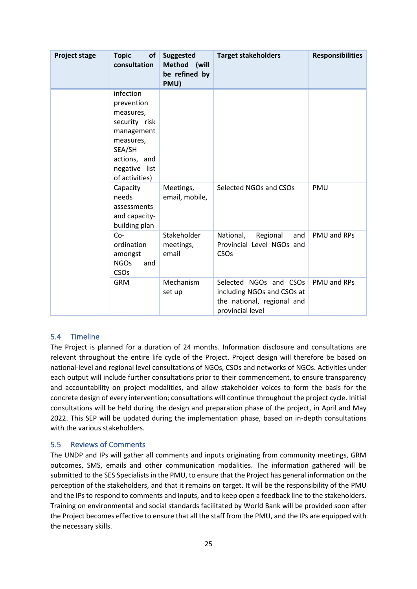| <b>Project stage</b> | <b>Topic</b><br><b>of</b><br>consultation                                                                                                     | <b>Suggested</b><br>Method (will<br>be refined by<br>PMU) | <b>Target stakeholders</b>                                                                             | <b>Responsibilities</b> |
|----------------------|-----------------------------------------------------------------------------------------------------------------------------------------------|-----------------------------------------------------------|--------------------------------------------------------------------------------------------------------|-------------------------|
|                      | infection<br>prevention<br>measures,<br>security risk<br>management<br>measures,<br>SEA/SH<br>actions, and<br>negative list<br>of activities) |                                                           |                                                                                                        |                         |
|                      | Capacity<br>needs<br>assessments<br>and capacity-<br>building plan                                                                            | Meetings,<br>email, mobile,                               | Selected NGOs and CSOs                                                                                 | PMU                     |
|                      | $Co-$<br>ordination<br>amongst<br><b>NGOs</b><br>and<br>CSOs                                                                                  | Stakeholder<br>meetings,<br>email                         | National,<br>Regional<br>and<br>Provincial Level NGOs and<br>CSOs                                      | PMU and RPs             |
|                      | <b>GRM</b>                                                                                                                                    | Mechanism<br>set up                                       | Selected NGOs and CSOs<br>including NGOs and CSOs at<br>the national, regional and<br>provincial level | PMU and RPs             |

#### <span id="page-29-0"></span>5.4 Timeline

The Project is planned for a duration of 24 months. Information disclosure and consultations are relevant throughout the entire life cycle of the Project. Project design will therefore be based on national-level and regional level consultations of NGOs, CSOs and networks of NGOs. Activities under each output will include further consultations prior to their commencement, to ensure transparency and accountability on project modalities, and allow stakeholder voices to form the basis for the concrete design of every intervention; consultations will continue throughout the project cycle. Initial consultations will be held during the design and preparation phase of the project, in April and May 2022. This SEP will be updated during the implementation phase, based on in-depth consultations with the various stakeholders.

#### <span id="page-29-1"></span>5.5 Reviews of Comments

The UNDP and IPs will gather all comments and inputs originating from community meetings, GRM outcomes, SMS, emails and other communication modalities. The information gathered will be submitted to the SES Specialists in the PMU, to ensure that the Project has general information on the perception of the stakeholders, and that it remains on target. It will be the responsibility of the PMU and the IPs to respond to comments and inputs, and to keep open a feedback line to the stakeholders. Training on environmental and social standards facilitated by World Bank will be provided soon after the Project becomes effective to ensure that all the staff from the PMU, and the IPs are equipped with the necessary skills.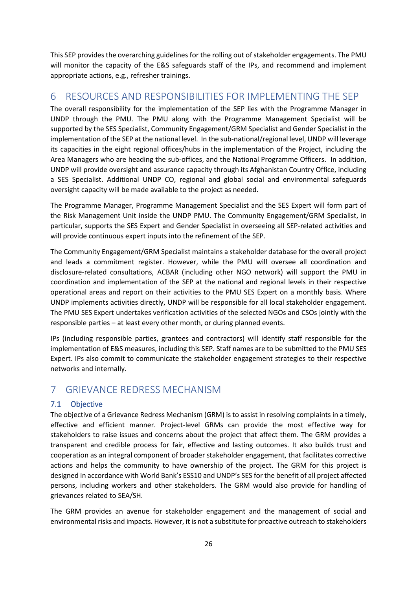<span id="page-30-0"></span>This SEP provides the overarching guidelines for the rolling out of stakeholder engagements. The PMU will monitor the capacity of the E&S safeguards staff of the IPs, and recommend and implement appropriate actions, e.g., refresher trainings.

## 6 RESOURCES AND RESPONSIBILITIES FOR IMPLEMENTING THE SEP

The overall responsibility for the implementation of the SEP lies with the Programme Manager in UNDP through the PMU. The PMU along with the Programme Management Specialist will be supported by the SES Specialist, Community Engagement/GRM Specialist and Gender Specialist in the implementation of the SEP at the national level. In the sub-national/regional level, UNDP will leverage its capacities in the eight regional offices/hubs in the implementation of the Project, including the Area Managers who are heading the sub-offices, and the National Programme Officers. In addition, UNDP will provide oversight and assurance capacity through its Afghanistan Country Office, including a SES Specialist. Additional UNDP CO, regional and global social and environmental safeguards oversight capacity will be made available to the project as needed.

The Programme Manager, Programme Management Specialist and the SES Expert will form part of the Risk Management Unit inside the UNDP PMU. The Community Engagement/GRM Specialist, in particular, supports the SES Expert and Gender Specialist in overseeing all SEP-related activities and will provide continuous expert inputs into the refinement of the SEP.

The Community Engagement/GRM Specialist maintains a stakeholder database for the overall project and leads a commitment register. However, while the PMU will oversee all coordination and disclosure-related consultations, ACBAR (including other NGO network) will support the PMU in coordination and implementation of the SEP at the national and regional levels in their respective operational areas and report on their activities to the PMU SES Expert on a monthly basis. Where UNDP implements activities directly, UNDP will be responsible for all local stakeholder engagement. The PMU SES Expert undertakes verification activities of the selected NGOs and CSOs jointly with the responsible parties – at least every other month, or during planned events.

<span id="page-30-1"></span>IPs (including responsible parties, grantees and contractors) will identify staff responsible for the implementation of E&S measures, including this SEP. Staff names are to be submitted to the PMU SES Expert. IPs also commit to communicate the stakeholder engagement strategies to their respective networks and internally.

## <span id="page-30-2"></span>7 GRIEVANCE REDRESS MECHANISM

#### 7.1 Objective

The objective of a Grievance Redress Mechanism (GRM) is to assist in resolving complaints in a timely, effective and efficient manner. Project-level GRMs can provide the most effective way for stakeholders to raise issues and concerns about the project that affect them. The GRM provides a transparent and credible process for fair, effective and lasting outcomes. It also builds trust and cooperation as an integral component of broader stakeholder engagement, that facilitates corrective actions and helps the community to have ownership of the project. The GRM for this project is designed in accordance with World Bank's ESS10 and UNDP's SES for the benefit of all project affected persons, including workers and other stakeholders. The GRM would also provide for handling of grievances related to SEA/SH.

The GRM provides an avenue for stakeholder engagement and the management of social and environmental risks and impacts. However, it is not a substitute for proactive outreach to stakeholders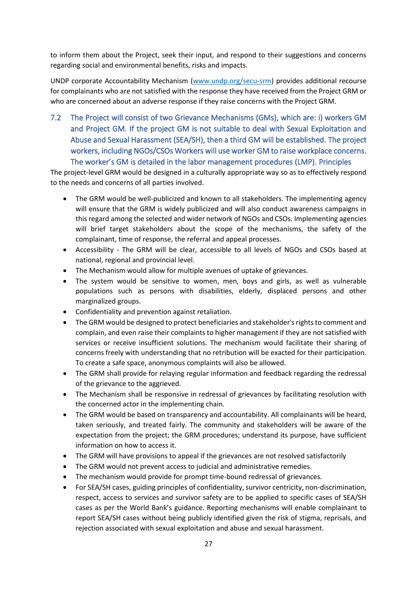to inform them about the Project, seek their input, and respond to their suggestions and concerns regarding social and environmental benefits, risks and impacts.

UNDP corporate Accountability Mechanism [\(www.undp.org/secu-srm\)](http://www.undp.org/secu-srm) provides additional recourse for complainants who are not satisfied with the response they have received from the Project GRM or who are concerned about an adverse response if they raise concerns with the Project GRM.

7.2 The Project will consist of two Grievance Mechanisms (GMs), which are: i) workers GM and Project GM. If the project GM is not suitable to deal with Sexual Exploitation and Abuse and Sexual Harassment (SEA/SH), then a third GM will be established. The project workers, including NGOs/CSOs Workers will use worker GM to raise workplace concerns. The worker's GM is detailed in the labor management procedures (LMP). Principles

The project-level GRM would be designed in a culturally appropriate way so as to effectively respond to the needs and concerns of all parties involved.

- <span id="page-31-0"></span>• The GRM would be well-publicized and known to all stakeholders. The implementing agency will ensure that the GRM is widely publicized and will also conduct awareness campaigns in this regard among the selected and wider network of NGOs and CSOs. Implementing agencies will brief target stakeholders about the scope of the mechanisms, the safety of the complainant, time of response, the referral and appeal processes.
- Accessibility The GRM will be clear, accessible to all levels of NGOs and CSOs based at national, regional and provincial level.
- The Mechanism would allow for multiple avenues of uptake of grievances.
- The system would be sensitive to women, men, boys and girls, as well as vulnerable populations such as persons with disabilities, elderly, displaced persons and other marginalized groups.
- Confidentiality and prevention against retaliation.
- The GRM would be designed to protect beneficiaries and stakeholder's rights to comment and complain, and even raise their complaints to higher management if they are not satisfied with services or receive insufficient solutions. The mechanism would facilitate their sharing of concerns freely with understanding that no retribution will be exacted for their participation. To create a safe space, anonymous complaints will also be allowed.
- The GRM shall provide for relaying regular information and feedback regarding the redressal of the grievance to the aggrieved.
- The Mechanism shall be responsive in redressal of grievances by facilitating resolution with the concerned actor in the implementing chain.
- The GRM would be based on transparency and accountability. All complainants will be heard, taken seriously, and treated fairly. The community and stakeholders will be aware of the expectation from the project; the GRM procedures; understand its purpose, have sufficient information on how to access it.
- The GRM will have provisions to appeal if the grievances are not resolved satisfactorily
- The GRM would not prevent access to judicial and administrative remedies.
- The mechanism would provide for prompt time-bound redressal of grievances.
- For SEA/SH cases, guiding principles of confidentiality, survivor centricity, non-discrimination, respect, access to services and survivor safety are to be applied to specific cases of SEA/SH cases as per the World Bank's guidance. Reporting mechanisms will enable complainant to report SEA/SH cases without being publicly identified given the risk of stigma, reprisals, and rejection associated with sexual exploitation and abuse and sexual harassment.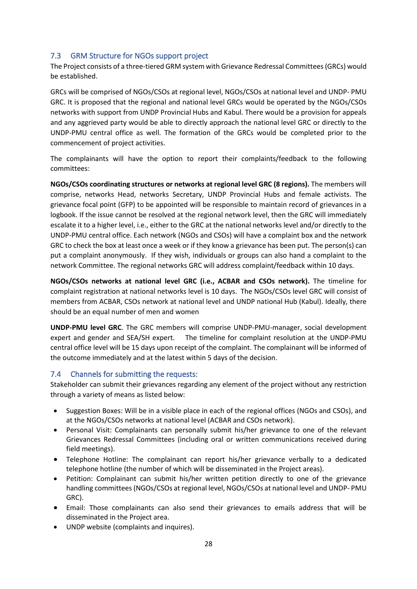#### <span id="page-32-0"></span>7.3 GRM Structure for NGOs support project

The Project consists of a three-tiered GRM system with Grievance Redressal Committees (GRCs) would be established.

GRCs will be comprised of NGOs/CSOs at regional level, NGOs/CSOs at national level and UNDP- PMU GRC. It is proposed that the regional and national level GRCs would be operated by the NGOs/CSOs networks with support from UNDP Provincial Hubs and Kabul. There would be a provision for appeals and any aggrieved party would be able to directly approach the national level GRC or directly to the UNDP-PMU central office as well. The formation of the GRCs would be completed prior to the commencement of project activities.

The complainants will have the option to report their complaints/feedback to the following committees:

**NGOs/CSOs coordinating structures or networks at regional level GRC (8 regions).** The members will comprise, networks Head, networks Secretary, UNDP Provincial Hubs and female activists. The grievance focal point (GFP) to be appointed will be responsible to maintain record of grievances in a logbook. If the issue cannot be resolved at the regional network level, then the GRC will immediately escalate it to a higher level, i.e., either to the GRC at the national networks level and/or directly to the UNDP-PMU central office. Each network (NGOs and CSOs) will have a complaint box and the network GRC to check the box at least once a week or if they know a grievance has been put. The person(s) can put a complaint anonymously. If they wish, individuals or groups can also hand a complaint to the network Committee. The regional networks GRC will address complaint/feedback within 10 days.

**NGOs/CSOs networks at national level GRC (i.e., ACBAR and CSOs network).** The timeline for complaint registration at national networks level is 10 days. The NGOs/CSOs level GRC will consist of members from ACBAR, CSOs network at national level and UNDP national Hub (Kabul). Ideally, there should be an equal number of men and women

<span id="page-32-1"></span>**UNDP-PMU level GRC**. The GRC members will comprise UNDP-PMU-manager, social development expert and gender and SEA/SH expert. The timeline for complaint resolution at the UNDP-PMU central office level will be 15 days upon receipt of the complaint. The complainant will be informed of the outcome immediately and at the latest within 5 days of the decision.

#### 7.4 Channels for submitting the requests:

Stakeholder can submit their grievances regarding any element of the project without any restriction through a variety of means as listed below:

- Suggestion Boxes: Will be in a visible place in each of the regional offices (NGOs and CSOs), and at the NGOs/CSOs networks at national level (ACBAR and CSOs network).
- Personal Visit: Complainants can personally submit his/her grievance to one of the relevant Grievances Redressal Committees (including oral or written communications received during field meetings).
- Telephone Hotline: The complainant can report his/her grievance verbally to a dedicated telephone hotline (the number of which will be disseminated in the Project areas).
- Petition: Complainant can submit his/her written petition directly to one of the grievance handling committees (NGOs/CSOs at regional level, NGOs/CSOs at national level and UNDP- PMU GRC).
- Email: Those complainants can also send their grievances to emails address that will be disseminated in the Project area.
- UNDP website (complaints and inquires).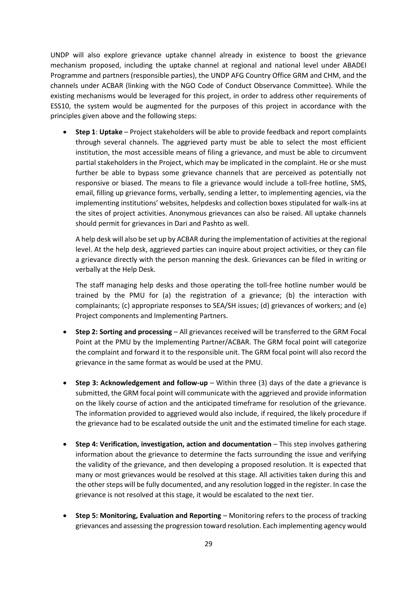UNDP will also explore grievance uptake channel already in existence to boost the grievance mechanism proposed, including the uptake channel at regional and national level under ABADEI Programme and partners (responsible parties), the UNDP AFG Country Office GRM and CHM, and the channels under ACBAR (linking with the NGO Code of Conduct Observance Committee). While the existing mechanisms would be leveraged for this project, in order to address other requirements of ESS10, the system would be augmented for the purposes of this project in accordance with the principles given above and the following steps:

• **Step 1**: **Uptake** – Project stakeholders will be able to provide feedback and report complaints through several channels. The aggrieved party must be able to select the most efficient institution, the most accessible means of filing a grievance, and must be able to circumvent partial stakeholders in the Project, which may be implicated in the complaint. He or she must further be able to bypass some grievance channels that are perceived as potentially not responsive or biased. The means to file a grievance would include a toll-free hotline, SMS, email, filling up grievance forms, verbally, sending a letter, to implementing agencies, via the implementing institutions' websites, helpdesks and collection boxes stipulated for walk-ins at the sites of project activities. Anonymous grievances can also be raised. All uptake channels should permit for grievances in Dari and Pashto as well.

A help desk will also be set up by ACBAR during the implementation of activities at the regional level. At the help desk, aggrieved parties can inquire about project activities, or they can file a grievance directly with the person manning the desk. Grievances can be filed in writing or verbally at the Help Desk.

The staff managing help desks and those operating the toll-free hotline number would be trained by the PMU for (a) the registration of a grievance; (b) the interaction with complainants; (c) appropriate responses to SEA/SH issues; (d) grievances of workers; and (e) Project components and Implementing Partners.

- **Step 2: Sorting and processing** All grievances received will be transferred to the GRM Focal Point at the PMU by the Implementing Partner/ACBAR. The GRM focal point will categorize the complaint and forward it to the responsible unit. The GRM focal point will also record the grievance in the same format as would be used at the PMU.
- **Step 3: Acknowledgement and follow-up** Within three (3) days of the date a grievance is submitted, the GRM focal point will communicate with the aggrieved and provide information on the likely course of action and the anticipated timeframe for resolution of the grievance. The information provided to aggrieved would also include, if required, the likely procedure if the grievance had to be escalated outside the unit and the estimated timeline for each stage.
- **Step 4: Verification, investigation, action and documentation** This step involves gathering information about the grievance to determine the facts surrounding the issue and verifying the validity of the grievance, and then developing a proposed resolution. It is expected that many or most grievances would be resolved at this stage. All activities taken during this and the other steps will be fully documented, and any resolution logged in the register. In case the grievance is not resolved at this stage, it would be escalated to the next tier.
- **Step 5: Monitoring, Evaluation and Reporting**  Monitoring refers to the process of tracking grievances and assessing the progression toward resolution. Each implementing agency would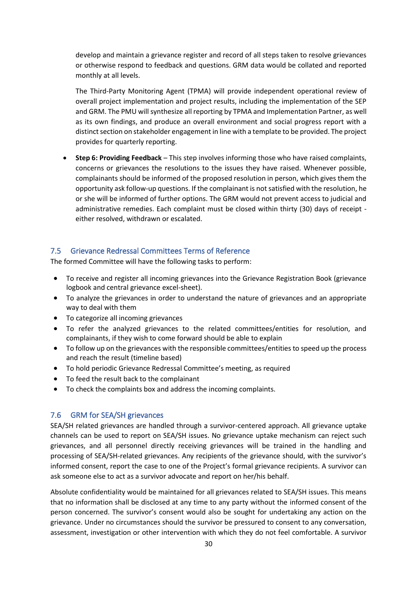develop and maintain a grievance register and record of all steps taken to resolve grievances or otherwise respond to feedback and questions. GRM data would be collated and reported monthly at all levels.

The Third-Party Monitoring Agent (TPMA) will provide independent operational review of overall project implementation and project results, including the implementation of the SEP and GRM. The PMU will synthesize all reporting by TPMA and Implementation Partner, as well as its own findings, and produce an overall environment and social progress report with a distinct section on stakeholder engagement in line with a template to be provided. The project provides for quarterly reporting.

• **Step 6: Providing Feedback** – This step involves informing those who have raised complaints, concerns or grievances the resolutions to the issues they have raised. Whenever possible, complainants should be informed of the proposed resolution in person, which gives them the opportunity ask follow-up questions. If the complainant is not satisfied with the resolution, he or she will be informed of further options. The GRM would not prevent access to judicial and administrative remedies. Each complaint must be closed within thirty (30) days of receipt either resolved, withdrawn or escalated.

#### <span id="page-34-0"></span>7.5 Grievance Redressal Committees Terms of Reference

The formed Committee will have the following tasks to perform:

- To receive and register all incoming grievances into the Grievance Registration Book (grievance logbook and central grievance excel-sheet).
- To analyze the grievances in order to understand the nature of grievances and an appropriate way to deal with them
- To categorize all incoming grievances
- To refer the analyzed grievances to the related committees/entities for resolution, and complainants, if they wish to come forward should be able to explain
- To follow up on the grievances with the responsible committees/entities to speed up the process and reach the result (timeline based)
- To hold periodic Grievance Redressal Committee's meeting, as required
- <span id="page-34-1"></span>• To feed the result back to the complainant
- To check the complaints box and address the incoming complaints.

#### 7.6 GRM for SEA/SH grievances

SEA/SH related grievances are handled through a survivor-centered approach. All grievance uptake channels can be used to report on SEA/SH issues. No grievance uptake mechanism can reject such grievances, and all personnel directly receiving grievances will be trained in the handling and processing of SEA/SH-related grievances. Any recipients of the grievance should, with the survivor's informed consent, report the case to one of the Project's formal grievance recipients. A survivor can ask someone else to act as a survivor advocate and report on her/his behalf.

Absolute confidentiality would be maintained for all grievances related to SEA/SH issues. This means that no information shall be disclosed at any time to any party without the informed consent of the person concerned. The survivor's consent would also be sought for undertaking any action on the grievance. Under no circumstances should the survivor be pressured to consent to any conversation, assessment, investigation or other intervention with which they do not feel comfortable. A survivor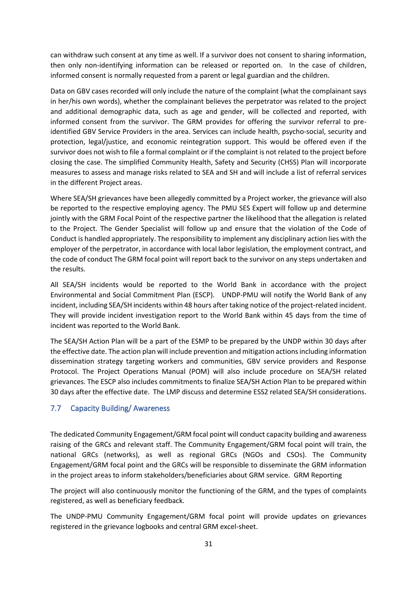can withdraw such consent at any time as well. If a survivor does not consent to sharing information, then only non-identifying information can be released or reported on. In the case of children, informed consent is normally requested from a parent or legal guardian and the children.

Data on GBV cases recorded will only include the nature of the complaint (what the complainant says in her/his own words), whether the complainant believes the perpetrator was related to the project and additional demographic data, such as age and gender, will be collected and reported, with informed consent from the survivor. The GRM provides for offering the survivor referral to preidentified GBV Service Providers in the area. Services can include health, psycho-social, security and protection, legal/justice, and economic reintegration support. This would be offered even if the survivor does not wish to file a formal complaint or if the complaint is not related to the project before closing the case. The simplified Community Health, Safety and Security (CHSS) Plan will incorporate measures to assess and manage risks related to SEA and SH and will include a list of referral services in the different Project areas.

Where SEA/SH grievances have been allegedly committed by a Project worker, the grievance will also be reported to the respective employing agency. The PMU SES Expert will follow up and determine jointly with the GRM Focal Point of the respective partner the likelihood that the allegation is related to the Project. The Gender Specialist will follow up and ensure that the violation of the Code of Conduct is handled appropriately. The responsibility to implement any disciplinary action lies with the employer of the perpetrator, in accordance with local labor legislation, the employment contract, and the code of conduct The GRM focal point will report back to the survivor on any steps undertaken and the results.

All SEA/SH incidents would be reported to the World Bank in accordance with the project Environmental and Social Commitment Plan (ESCP). UNDP-PMU will notify the World Bank of any incident, including SEA/SH incidents within 48 hours after taking notice of the project-related incident. They will provide incident investigation report to the World Bank within 45 days from the time of incident was reported to the World Bank.

<span id="page-35-0"></span>The SEA/SH Action Plan will be a part of the ESMP to be prepared by the UNDP within 30 days after the effective date. The action plan will include prevention and mitigation actions including information dissemination strategy targeting workers and communities, GBV service providers and Response Protocol. The Project Operations Manual (POM) will also include procedure on SEA/SH related grievances. The ESCP also includes commitments to finalize SEA/SH Action Plan to be prepared within 30 days after the effective date. The LMP discuss and determine ESS2 related SEA/SH considerations.

#### 7.7 Capacity Building/ Awareness

The dedicated Community Engagement/GRM focal point will conduct capacity building and awareness raising of the GRCs and relevant staff. The Community Engagement/GRM focal point will train, the national GRCs (networks), as well as regional GRCs (NGOs and CSOs). The Community Engagement/GRM focal point and the GRCs will be responsible to disseminate the GRM information in the project areas to inform stakeholders/beneficiaries about GRM service. GRM Reporting

The project will also continuously monitor the functioning of the GRM, and the types of complaints registered, as well as beneficiary feedback.

The UNDP-PMU Community Engagement/GRM focal point will provide updates on grievances registered in the grievance logbooks and central GRM excel-sheet.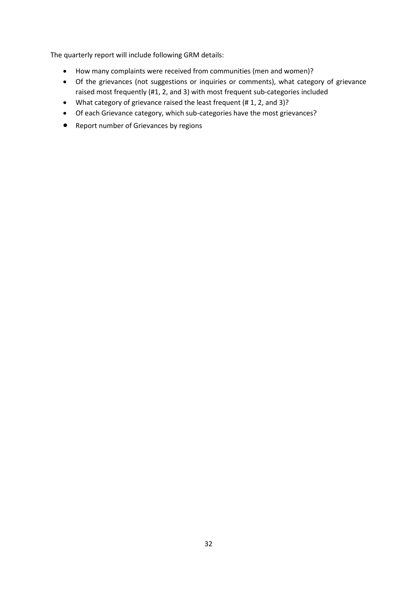The quarterly report will include following GRM details:

- How many complaints were received from communities (men and women)?
- Of the grievances (not suggestions or inquiries or comments), what category of grievance raised most frequently (#1, 2, and 3) with most frequent sub-categories included
- What category of grievance raised the least frequent (# 1, 2, and 3)?
- Of each Grievance category, which sub-categories have the most grievances?
- Report number of Grievances by regions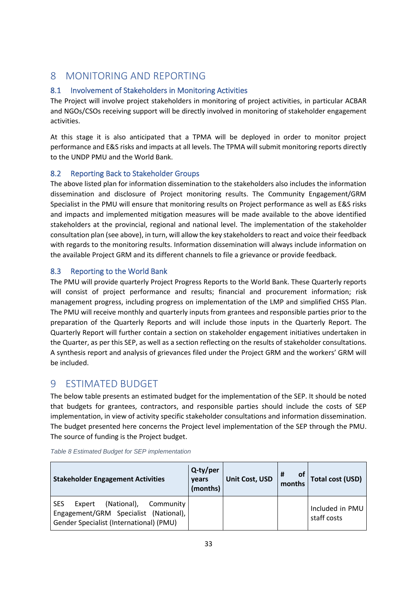## <span id="page-37-1"></span><span id="page-37-0"></span>8 MONITORING AND REPORTING

#### 8.1 Involvement of Stakeholders in Monitoring Activities

The Project will involve project stakeholders in monitoring of project activities, in particular ACBAR and NGOs/CSOs receiving support will be directly involved in monitoring of stakeholder engagement activities.

<span id="page-37-2"></span>At this stage it is also anticipated that a TPMA will be deployed in order to monitor project performance and E&S risks and impacts at all levels. The TPMA will submit monitoring reports directly to the UNDP PMU and the World Bank.

#### 8.2 Reporting Back to Stakeholder Groups

The above listed plan for information dissemination to the stakeholders also includes the information dissemination and disclosure of Project monitoring results. The Community Engagement/GRM Specialist in the PMU will ensure that monitoring results on Project performance as well as E&S risks and impacts and implemented mitigation measures will be made available to the above identified stakeholders at the provincial, regional and national level. The implementation of the stakeholder consultation plan (see above), in turn, will allow the key stakeholders to react and voice their feedback with regards to the monitoring results. Information dissemination will always include information on the available Project GRM and its different channels to file a grievance or provide feedback.

#### <span id="page-37-3"></span>8.3 Reporting to the World Bank

The PMU will provide quarterly Project Progress Reports to the World Bank. These Quarterly reports will consist of project performance and results; financial and procurement information; risk management progress, including progress on implementation of the LMP and simplified CHSS Plan. The PMU will receive monthly and quarterly inputs from grantees and responsible parties prior to the preparation of the Quarterly Reports and will include those inputs in the Quarterly Report. The Quarterly Report will further contain a section on stakeholder engagement initiatives undertaken in the Quarter, as per this SEP, as well as a section reflecting on the results of stakeholder consultations. A synthesis report and analysis of grievances filed under the Project GRM and the workers' GRM will be included.

## <span id="page-37-4"></span>9 ESTIMATED BUDGET

The below table presents an estimated budget for the implementation of the SEP. It should be noted that budgets for grantees, contractors, and responsible parties should include the costs of SEP implementation, in view of activity specific stakeholder consultations and information dissemination. The budget presented here concerns the Project level implementation of the SEP through the PMU. The source of funding is the Project budget.

| <b>Stakeholder Engagement Activities</b>                                                                                             | Q-ty/per<br>vears<br>(months) | Unit Cost, USD | #<br><b>of</b><br>months | <b>Total cost (USD)</b>        |
|--------------------------------------------------------------------------------------------------------------------------------------|-------------------------------|----------------|--------------------------|--------------------------------|
| (National),<br><b>SES</b><br>Expert<br>Community<br>Engagement/GRM Specialist (National),<br>Gender Specialist (International) (PMU) |                               |                |                          | Included in PMU<br>staff costs |

#### *Table 8 Estimated Budget for SEP implementation*